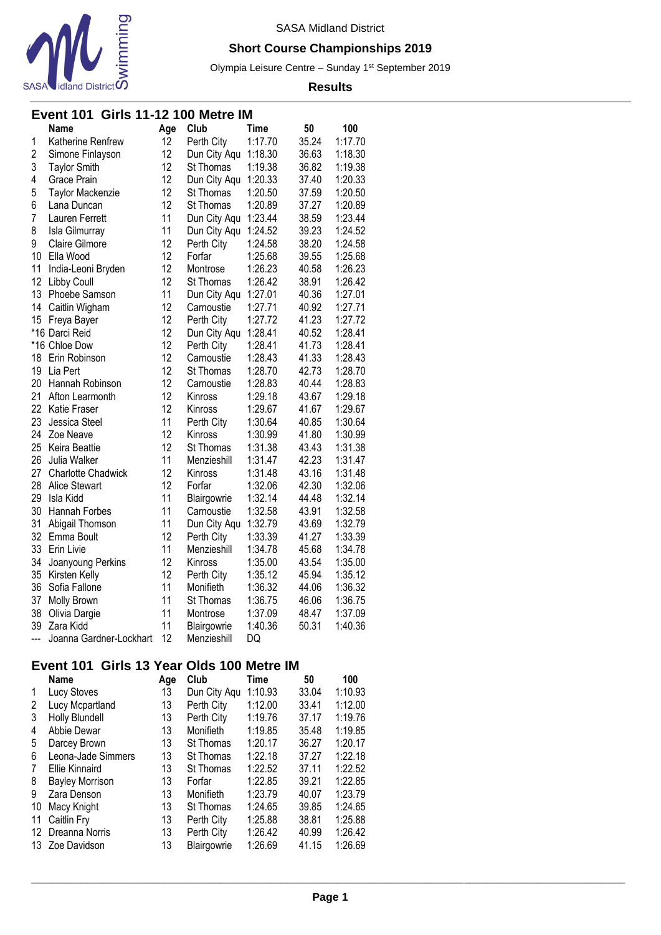

## **Short Course Championships 2019**

Olympia Leisure Centre - Sunday 1<sup>st</sup> September 2019

#### **Results**

## **Event 101 Girls 11-12 100 Metre IM**

|                | <b>Name</b>             | Age | Club         | Time    | 50    | 100     |
|----------------|-------------------------|-----|--------------|---------|-------|---------|
| 1              | Katherine Renfrew       | 12  | Perth City   | 1:17.70 | 35.24 | 1:17.70 |
| $\overline{c}$ | Simone Finlayson        | 12  | Dun City Aqu | 1:18.30 | 36.63 | 1:18.30 |
| 3              | <b>Taylor Smith</b>     | 12  | St Thomas    | 1:19.38 | 36.82 | 1:19.38 |
| 4              | Grace Prain             | 12  | Dun City Aqu | 1:20.33 | 37.40 | 1:20.33 |
| 5              | Taylor Mackenzie        | 12  | St Thomas    | 1:20.50 | 37.59 | 1:20.50 |
| 6              | Lana Duncan             | 12  | St Thomas    | 1:20.89 | 37.27 | 1:20.89 |
| $\overline{7}$ | Lauren Ferrett          | 11  | Dun City Aqu | 1:23.44 | 38.59 | 1:23.44 |
| 8              | Isla Gilmurray          | 11  | Dun City Aqu | 1:24.52 | 39.23 | 1:24.52 |
| 9              | Claire Gilmore          | 12  | Perth City   | 1:24.58 | 38.20 | 1:24.58 |
| 10             | Ella Wood               | 12  | Forfar       | 1:25.68 | 39.55 | 1:25.68 |
| 11             | India-Leoni Bryden      | 12  | Montrose     | 1:26.23 | 40.58 | 1:26.23 |
| 12             | Libby Coull             | 12  | St Thomas    | 1:26.42 | 38.91 | 1:26.42 |
| 13             | Phoebe Samson           | 11  | Dun City Aqu | 1:27.01 | 40.36 | 1:27.01 |
| 14             | Caitlin Wigham          | 12  | Carnoustie   | 1:27.71 | 40.92 | 1:27.71 |
| 15             | Freya Bayer             | 12  | Perth City   | 1:27.72 | 41.23 | 1:27.72 |
|                | *16 Darci Reid          | 12  | Dun City Aqu | 1:28.41 | 40.52 | 1:28.41 |
|                | *16 Chloe Dow           | 12  | Perth City   | 1:28.41 | 41.73 | 1:28.41 |
| 18             | Erin Robinson           | 12  | Carnoustie   | 1:28.43 | 41.33 | 1:28.43 |
| 19             | Lia Pert                | 12  | St Thomas    | 1:28.70 | 42.73 | 1:28.70 |
| 20             | Hannah Robinson         | 12  | Carnoustie   | 1:28.83 | 40.44 | 1:28.83 |
| 21             | Afton Learmonth         | 12  | Kinross      | 1:29.18 | 43.67 | 1:29.18 |
| 22             | <b>Katie Fraser</b>     | 12  | Kinross      | 1:29.67 | 41.67 | 1:29.67 |
| 23             | Jessica Steel           | 11  | Perth City   | 1:30.64 | 40.85 | 1:30.64 |
| 24             | Zoe Neave               | 12  | Kinross      | 1:30.99 | 41.80 | 1:30.99 |
| 25             | Keira Beattie           | 12  | St Thomas    | 1:31.38 | 43.43 | 1:31.38 |
| 26             | Julia Walker            | 11  | Menzieshill  | 1:31.47 | 42.23 | 1:31.47 |
| 27             | Charlotte Chadwick      | 12  | Kinross      | 1:31.48 | 43.16 | 1:31.48 |
| 28             | <b>Alice Stewart</b>    | 12  | Forfar       | 1:32.06 | 42.30 | 1:32.06 |
| 29             | Isla Kidd               | 11  | Blairgowrie  | 1:32.14 | 44.48 | 1:32.14 |
| 30             | Hannah Forbes           | 11  | Carnoustie   | 1:32.58 | 43.91 | 1:32.58 |
| 31             | Abigail Thomson         | 11  | Dun City Aqu | 1:32.79 | 43.69 | 1:32.79 |
| 32             | Emma Boult              | 12  | Perth City   | 1:33.39 | 41.27 | 1:33.39 |
| 33             | Erin Livie              | 11  | Menzieshill  | 1:34.78 | 45.68 | 1:34.78 |
| 34             | Joanyoung Perkins       | 12  | Kinross      | 1:35.00 | 43.54 | 1:35.00 |
| 35             | Kirsten Kelly           | 12  | Perth City   | 1:35.12 | 45.94 | 1:35.12 |
| 36             | Sofia Fallone           | 11  | Monifieth    | 1:36.32 | 44.06 | 1:36.32 |
| 37             | <b>Molly Brown</b>      | 11  | St Thomas    | 1:36.75 | 46.06 | 1:36.75 |
| 38             | Olivia Dargie           | 11  | Montrose     | 1:37.09 | 48.47 | 1:37.09 |
| 39             | Zara Kidd               | 11  | Blairgowrie  | 1:40.36 | 50.31 | 1:40.36 |
| ---            | Joanna Gardner-Lockhart | 12  | Menzieshill  | DQ      |       |         |

### **Event 101 Girls 13 Year Olds 100 Metre IM**

|    | <b>Name</b>            | Age | Club         | Time    | 50    | 100     |
|----|------------------------|-----|--------------|---------|-------|---------|
| 1  | Lucy Stoves            | 13  | Dun City Aqu | 1:10.93 | 33.04 | 1:10.93 |
| 2  | Lucy Mcpartland        | 13  | Perth City   | 1:12.00 | 33.41 | 1:12.00 |
| 3  | <b>Holly Blundell</b>  | 13  | Perth City   | 1:19.76 | 37.17 | 1:19.76 |
| 4  | Abbie Dewar            | 13  | Monifieth    | 1:19.85 | 35.48 | 1:19.85 |
| 5  | Darcey Brown           | 13  | St Thomas    | 1:20.17 | 36.27 | 1:20.17 |
| 6  | Leona-Jade Simmers     | 13  | St Thomas    | 1:22.18 | 37.27 | 1:22.18 |
| 7  | Ellie Kinnaird         | 13  | St Thomas    | 1:22.52 | 37.11 | 1:22.52 |
| 8  | <b>Bayley Morrison</b> | 13  | Forfar       | 1:22.85 | 39.21 | 1:22.85 |
| 9  | Zara Denson            | 13  | Monifieth    | 1:23.79 | 40.07 | 1:23.79 |
| 10 | Macy Knight            | 13  | St Thomas    | 1:24.65 | 39.85 | 1:24.65 |
| 11 | Caitlin Fry            | 13  | Perth City   | 1:25.88 | 38.81 | 1:25.88 |
| 12 | Dreanna Norris         | 13  | Perth City   | 1:26.42 | 40.99 | 1:26.42 |
| 13 | Zoe Davidson           | 13  | Blairgowrie  | 1:26.69 | 41.15 | 1:26.69 |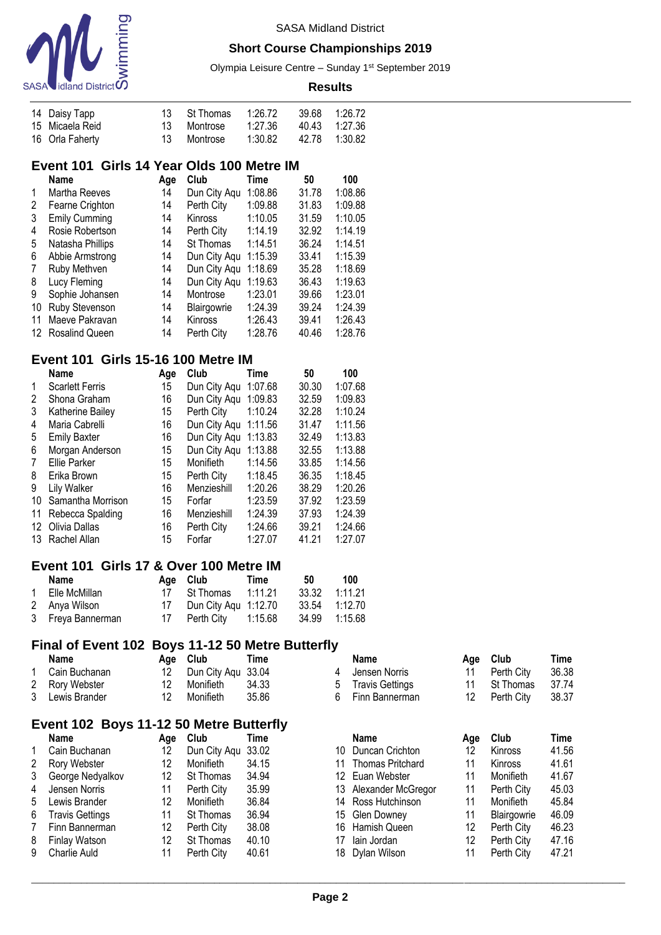

### **Short Course Championships 2019**

Olympia Leisure Centre - Sunday 1<sup>st</sup> September 2019

| 14 Daisy Tapp   |    | 13 St Thomas | 1:26.72 | 39.68 1:26.72 |  |
|-----------------|----|--------------|---------|---------------|--|
| 15 Micaela Reid |    | 13 Montrose  | 1:27.36 | 40.43 1:27.36 |  |
| 16 Orla Faherty | 13 | Montrose     | 1:30.82 | 42.78 1:30.82 |  |

## **Event 101 Girls 14 Year Olds 100 Metre IM**

|    | Name                 | Age | Club           | Time    | 50    | 100     |
|----|----------------------|-----|----------------|---------|-------|---------|
| 1  | Martha Reeves        | 14  | Dun City Aqu   | 1:08.86 | 31.78 | 1:08.86 |
| 2  | Fearne Crighton      | 14  | Perth City     | 1:09.88 | 31.83 | 1:09.88 |
| 3  | <b>Emily Cumming</b> | 14  | <b>Kinross</b> | 1:10.05 | 31.59 | 1:10.05 |
| 4  | Rosie Robertson      | 14  | Perth City     | 1:14.19 | 32.92 | 1:14.19 |
| 5  | Natasha Phillips     | 14  | St Thomas      | 1:14.51 | 36.24 | 1:14.51 |
| 6  | Abbie Armstrong      | 14  | Dun City Aqu   | 1:15.39 | 33.41 | 1:15.39 |
| 7  | Ruby Methven         | 14  | Dun City Aqu   | 1:18.69 | 35.28 | 1:18.69 |
| 8  | Lucy Fleming         | 14  | Dun City Aqu   | 1:19.63 | 36.43 | 1:19.63 |
| 9  | Sophie Johansen      | 14  | Montrose       | 1:23.01 | 39.66 | 1:23.01 |
| 10 | Ruby Stevenson       | 14  | Blairgowrie    | 1:24.39 | 39.24 | 1:24.39 |
| 11 | Maeve Pakravan       | 14  | Kinross        | 1:26.43 | 39.41 | 1:26.43 |
|    | 12 Rosalind Queen    | 14  | Perth City     | 1:28.76 | 40.46 | 1:28.76 |

## **Event 101 Girls 15-16 100 Metre IM**

|    | <b>Name</b>            | Age | Club         | Time    | 50    | 100     |
|----|------------------------|-----|--------------|---------|-------|---------|
| 1  | <b>Scarlett Ferris</b> | 15  | Dun City Aqu | 1:07.68 | 30.30 | 1:07.68 |
| 2  | Shona Graham           | 16  | Dun City Aqu | 1:09.83 | 32.59 | 1:09.83 |
| 3  | Katherine Bailey       | 15  | Perth City   | 1:10.24 | 32.28 | 1:10.24 |
| 4  | Maria Cabrelli         | 16  | Dun City Aqu | 1:11.56 | 31.47 | 1:11.56 |
| 5  | <b>Emily Baxter</b>    | 16  | Dun City Aqu | 1:13.83 | 32.49 | 1:13.83 |
| 6  | Morgan Anderson        | 15  | Dun City Aqu | 1:13.88 | 32.55 | 1:13.88 |
| 7  | <b>Ellie Parker</b>    | 15  | Monifieth    | 1:14.56 | 33.85 | 1:14.56 |
| 8  | Erika Brown            | 15  | Perth City   | 1:18.45 | 36.35 | 1:18.45 |
| 9  | Lily Walker            | 16  | Menzieshill  | 1:20.26 | 38.29 | 1:20.26 |
| 10 | Samantha Morrison      | 15  | Forfar       | 1:23.59 | 37.92 | 1:23.59 |
| 11 | Rebecca Spalding       | 16  | Menzieshill  | 1:24.39 | 37.93 | 1:24.39 |
| 12 | Olivia Dallas          | 16  | Perth City   | 1:24.66 | 39.21 | 1:24.66 |
| 13 | Rachel Allan           | 15  | Forfar       | 1:27.07 | 41.21 | 1:27.07 |

### **Event 101 Girls 17 & Over 100 Metre IM**

| Name              |    | Age Club               | Time    | 50 | 100           |
|-------------------|----|------------------------|---------|----|---------------|
| 1 Elle McMillan   |    | 17 St Thomas           | 1:11.21 |    | 33.32 1:11.21 |
| 2 Anya Wilson     | 17 | Dun City Agu 1:12.70   |         |    | 33.54 1:12.70 |
| 3 Freya Bannerman |    | 17 Perth City  1:15.68 |         |    | 34.99 1:15.68 |

### **Final of Event 102 Boys 11-12 50 Metre Butterfly**

| Name            | Age Club              | Time  |   | Name            | Age Club   | Time    |
|-----------------|-----------------------|-------|---|-----------------|------------|---------|
| Cain Buchanan   | 12 Dun City Agu 33.04 |       | 4 | Jensen Norris   | Perth City | 36.38   |
| 2 Rory Webster  | Monifieth             | 34.33 | 5 | Travis Gettings | St Thomas  | - 37.74 |
| 3 Lewis Brander | Monifieth             | 35.86 |   | Finn Bannerman  | Perth City | 38.37   |

## **Event 102 Boys 11-12 50 Metre Butterfly**

|           | Name                   | Aae | Club               | Time  | Name                    | Aae | Club        | Time           |
|-----------|------------------------|-----|--------------------|-------|-------------------------|-----|-------------|----------------|
| $1 \quad$ | Cain Buchanan          | 12  | Dun City Agu 33.02 |       | 10 Duncan Crichton      |     | Kinross     | 41.56          |
| 2         | Rory Webster           | 12  | Monifieth          | 34.15 | <b>Thomas Pritchard</b> |     | Kinross     | 41.6'          |
| 3         | George Nedyalkov       | 12  | St Thomas          | 34.94 | 12 Euan Webster         |     | Monifieth   | 41.67          |
|           | 4 Jensen Norris        | 11  | Perth City         | 35.99 | 13 Alexander McGregor   | 11  | Perth City  | 45.03          |
|           | 5 Lewis Brander        | 12  | Monifieth          | 36.84 | 14 Ross Hutchinson      | 11  | Monifieth   | 45.84          |
| 6         | <b>Travis Gettings</b> |     | St Thomas          | 36.94 | 15 Glen Downey          |     | Blairgowrie | 46.09          |
| 7         | Finn Bannerman         | 12  | Perth City         | 38.08 | 16 Hamish Queen         | 12  | Perth City  | 46.23          |
| 8         | <b>Finlay Watson</b>   | 12  | St Thomas          | 40.10 | lain Jordan             | 12  | Perth City  | 47.16          |
|           | 9 Charlie Auld         |     | Perth City         | 40.61 | 18 Dylan Wilson         |     | Perth City  | $47.2^{\circ}$ |

| 4 | Jensen Norris       | 11  | Perth City | 36.38 |
|---|---------------------|-----|------------|-------|
| 5 | Travis Gettings     | 11  | St Thomas  | 37.74 |
|   | 6 Finn Bannerman    | 12  | Perth City | 38.37 |
|   | Name                | Age | Club       | Time  |
|   | 10 Duncan Crichton  | 12  | Kinross    | 41.56 |
|   | 11 Thomas Pritchard | 11  | Kinross    | 41.61 |
|   |                     |     |            |       |

| 12 Euan Webster       | 11                | Monifieth   | 41.67 |
|-----------------------|-------------------|-------------|-------|
| 13 Alexander McGregor | 11                | Perth City  | 45.03 |
| 14 Ross Hutchinson    | 11                | Monifieth   | 45.84 |
| 15 Glen Downey        | 11                | Blairgowrie | 46.09 |
| 16 Hamish Queen       | 12                | Perth City  | 46.23 |
| 17 Iain Jordan        | $12 \overline{ }$ | Perth City  | 47.16 |
| 18 Dylan Wilson       | 11                | Perth City  | 47.21 |
|                       |                   |             |       |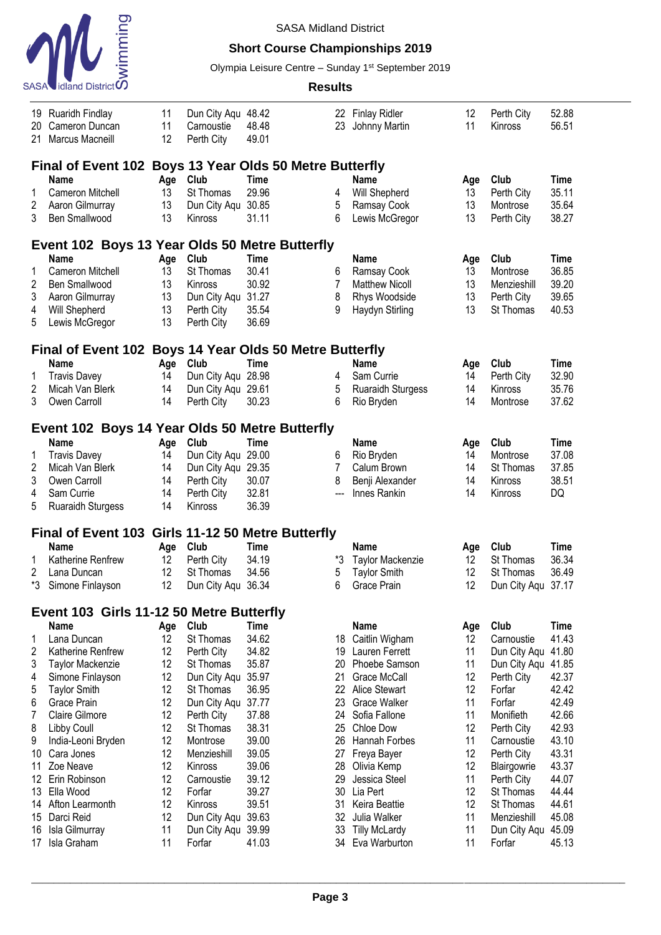

## **Short Course Championships 2019**

Olympia Leisure Centre - Sunday 1<sup>st</sup> September 2019

|                | 19 Ruaridh Findlay                                      | 11  | Dun City Aqu 48.42 |                                |     | 22 Finlay Ridler         | 12  | Perth City   | 52.88       |  |
|----------------|---------------------------------------------------------|-----|--------------------|--------------------------------|-----|--------------------------|-----|--------------|-------------|--|
| 20             | Cameron Duncan                                          | 11  | Carnoustie         | 48.48                          | 23  | Johnny Martin            | 11  | Kinross      | 56.51       |  |
| 21             | Marcus Macneill                                         | 12  | Perth City         | 49.01                          |     |                          |     |              |             |  |
|                |                                                         |     |                    |                                |     |                          |     |              |             |  |
|                | Final of Event 102 Boys 13 Year Olds 50 Metre Butterfly |     |                    |                                |     |                          |     |              |             |  |
|                | <b>Name</b>                                             | Age | Club               | <b>Time</b>                    |     | <b>Name</b>              | Age | Club         | <b>Time</b> |  |
| 1              | Cameron Mitchell                                        | 13  | St Thomas          | 29.96                          | 4   | Will Shepherd            | 13  | Perth City   | 35.11       |  |
| $\overline{2}$ | Aaron Gilmurray                                         | 13  | Dun City Aqu 30.85 |                                | 5   | Ramsay Cook              | 13  | Montrose     | 35.64       |  |
| 3              | Ben Smallwood                                           | 13  | <b>Kinross</b>     | 31.11                          | 6   | Lewis McGregor           | 13  | Perth City   | 38.27       |  |
|                | Event 102 Boys 13 Year Olds 50 Metre Butterfly          |     |                    |                                |     |                          |     |              |             |  |
|                | <b>Name</b>                                             | Age | Club               | Time                           |     | <b>Name</b>              | Age | Club         | <b>Time</b> |  |
| 1              | Cameron Mitchell                                        | 13  | St Thomas          | 30.41                          | 6   | Ramsay Cook              | 13  | Montrose     | 36.85       |  |
| $\overline{2}$ | Ben Smallwood                                           | 13  | Kinross            | 30.92                          | 7   | <b>Matthew Nicoll</b>    | 13  | Menzieshill  | 39.20       |  |
| 3              | Aaron Gilmurray                                         | 13  | Dun City Aqu 31.27 |                                | 8   | Rhys Woodside            | 13  | Perth City   | 39.65       |  |
| 4              | Will Shepherd                                           | 13  | Perth City         | 35.54                          | 9   | Haydyn Stirling          | 13  | St Thomas    | 40.53       |  |
| 5              | Lewis McGregor                                          | 13  | Perth City         | 36.69                          |     |                          |     |              |             |  |
|                | Final of Event 102 Boys 14 Year Olds 50 Metre Butterfly |     |                    |                                |     |                          |     |              |             |  |
|                | <b>Name</b>                                             | Age | Club               | <b>Time</b>                    |     | <b>Name</b>              | Age | Club         | <b>Time</b> |  |
| 1              | <b>Travis Davey</b>                                     | 14  | Dun City Aqu 28.98 |                                | 4   | Sam Currie               | 14  | Perth City   | 32.90       |  |
| $\overline{2}$ | Micah Van Blerk                                         | 14  | Dun City Aqu 29.61 |                                | 5   | <b>Ruaraidh Sturgess</b> | 14  | Kinross      | 35.76       |  |
| 3              | Owen Carroll                                            | 14  | Perth City         | 30.23                          | 6   | Rio Bryden               | 14  | Montrose     | 37.62       |  |
|                |                                                         |     |                    |                                |     |                          |     |              |             |  |
|                | Event 102 Boys 14 Year Olds 50 Metre Butterfly          |     |                    |                                |     |                          |     |              |             |  |
|                | <b>Name</b>                                             | Age | Club               | <b>Time</b>                    |     | <b>Name</b>              | Age | Club         | <b>Time</b> |  |
| 1              | <b>Travis Davey</b>                                     | 14  | Dun City Aqu 29.00 |                                | 6   | Rio Bryden               | 14  | Montrose     | 37.08       |  |
| $\overline{2}$ | Micah Van Blerk                                         | 14  | Dun City Aqu 29.35 |                                | 7   | Calum Brown              | 14  | St Thomas    | 37.85       |  |
| 3              | Owen Carroll                                            | 14  | Perth City         | 30.07                          | 8   | Benji Alexander          | 14  | Kinross      | 38.51       |  |
| 4              | Sam Currie                                              | 14  | Perth City         | 32.81                          | --- | Innes Rankin             | 14  | Kinross      | DQ          |  |
| 5              | <b>Ruaraidh Sturgess</b>                                | 14  | Kinross            | 36.39                          |     |                          |     |              |             |  |
|                | <b>Final of Event 103</b>                               |     |                    | Girls 11-12 50 Metre Butterfly |     |                          |     |              |             |  |
|                | Name                                                    | Age | Club               | Time                           |     | Name                     | Age | Club         | <b>Time</b> |  |
| 1              | Katherine Renfrew                                       | 12  | Perth City         | 34.19                          | *3  | Taylor Mackenzie         | 12  | St Thomas    | 36.34       |  |
| 2              | Lana Duncan                                             | 12  | St Thomas          | 34.56                          | 5   | <b>Taylor Smith</b>      | 12  | St Thomas    | 36.49       |  |
| *3             | Simone Finlayson                                        | 12  | Dun City Aqu 36.34 |                                | 6   | Grace Prain              | 12  | Dun City Aqu | 37.17       |  |
|                | Event 103 Girls 11-12 50 Metre Butterfly                |     |                    |                                |     |                          |     |              |             |  |
|                | <b>Name</b>                                             | Age | Club               | <b>Time</b>                    |     | <b>Name</b>              | Age | Club         | <b>Time</b> |  |
| 1              | Lana Duncan                                             | 12  | St Thomas          | 34.62                          | 18  | Caitlin Wigham           | 12  | Carnoustie   | 41.43       |  |
| $\overline{2}$ | Katherine Renfrew                                       | 12  | Perth City         | 34.82                          | 19  | Lauren Ferrett           | 11  | Dun City Aqu | 41.80       |  |
| 3              | Taylor Mackenzie                                        | 12  | St Thomas          | 35.87                          | 20  | Phoebe Samson            | 11  | Dun City Aqu | 41.85       |  |
| 4              | Simone Finlayson                                        | 12  | Dun City Aqu 35.97 |                                | 21  | Grace McCall             | 12  | Perth City   | 42.37       |  |
| 5              | <b>Taylor Smith</b>                                     | 12  | St Thomas          | 36.95                          | 22  | Alice Stewart            | 12  | Forfar       | 42.42       |  |
| 6              | Grace Prain                                             | 12  | Dun City Aqu 37.77 |                                | 23  | <b>Grace Walker</b>      | 11  | Forfar       | 42.49       |  |
| $\overline{7}$ | Claire Gilmore                                          | 12  | Perth City         | 37.88                          | 24  | Sofia Fallone            | 11  | Monifieth    | 42.66       |  |
| 8              | <b>Libby Coull</b>                                      | 12  | St Thomas          | 38.31                          | 25  | Chloe Dow                | 12  | Perth City   | 42.93       |  |
| 9              | India-Leoni Bryden                                      | 12  | Montrose           | 39.00                          | 26  | Hannah Forbes            | 11  | Carnoustie   | 43.10       |  |
| 10             | Cara Jones                                              | 12  | Menzieshill        | 39.05                          | 27  | Freya Bayer              | 12  | Perth City   | 43.31       |  |
| 11             | Zoe Neave                                               | 12  | Kinross            | 39.06                          | 28  | Olivia Kemp              | 12  | Blairgowrie  | 43.37       |  |
| 12             | Erin Robinson                                           | 12  | Carnoustie         | 39.12                          | 29  | Jessica Steel            | 11  | Perth City   | 44.07       |  |
| 13             | Ella Wood                                               | 12  | Forfar             | 39.27                          | 30  | Lia Pert                 | 12  | St Thomas    | 44.44       |  |
| 14             | Afton Learmonth                                         | 12  | Kinross            | 39.51                          | 31  | Keira Beattie            | 12  | St Thomas    | 44.61       |  |
| 15             | Darci Reid                                              | 12  | Dun City Aqu 39.63 |                                | 32  | Julia Walker             | 11  | Menzieshill  | 45.08       |  |
| 16             | Isla Gilmurray                                          | 11  | Dun City Aqu 39.99 |                                | 33  | <b>Tilly McLardy</b>     | 11  | Dun City Aqu | 45.09       |  |
| 17             | Isla Graham                                             | 11  | Forfar             | 41.03                          |     | 34 Eva Warburton         | 11  | Forfar       | 45.13       |  |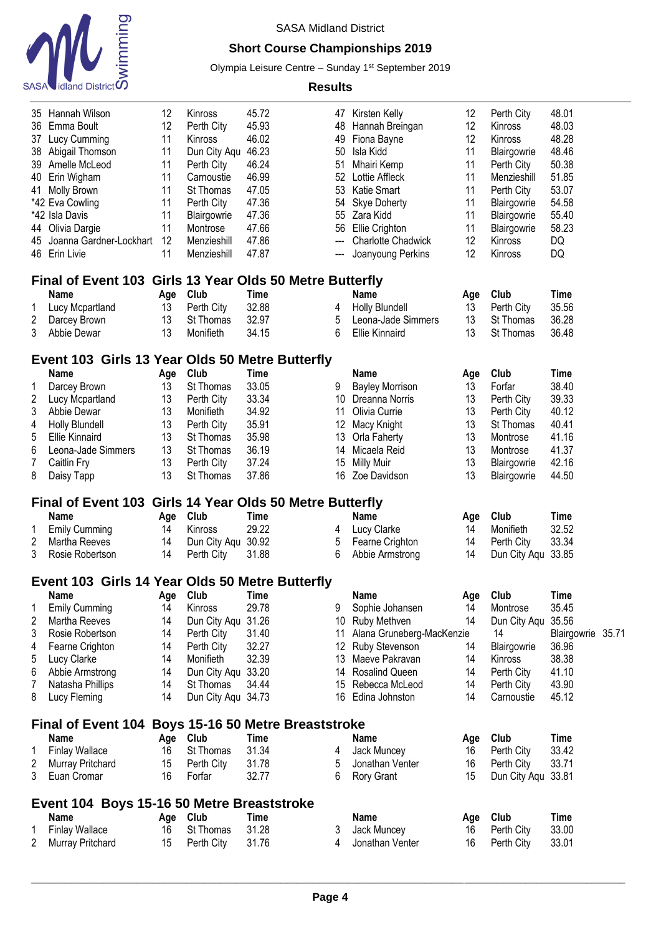

## **Short Course Championships 2019**

Olympia Leisure Centre - Sunday 1<sup>st</sup> September 2019

| 35                | Hannah Wilson                                            | 12       | Kinross                 | 45.72                                 |        | 47 Kirsten Kelly               | 12        | Perth City               | 48.01             |  |
|-------------------|----------------------------------------------------------|----------|-------------------------|---------------------------------------|--------|--------------------------------|-----------|--------------------------|-------------------|--|
| 36                | Emma Boult                                               | 12       | Perth City              | 45.93                                 | 48     | Hannah Breingan                | 12        | Kinross                  | 48.03             |  |
| 37                | Lucy Cumming                                             | 11       | Kinross                 | 46.02                                 | 49     | Fiona Bayne                    | 12        | Kinross                  | 48.28             |  |
| 38                | Abigail Thomson                                          | 11       | Dun City Aqu            | 46.23                                 | 50     | Isla Kidd                      | 11        | Blairgowrie              | 48.46             |  |
| 39                | Amelle McLeod                                            | 11       | Perth City              | 46.24                                 | 51     | <b>Mhairi Kemp</b>             | 11        | Perth City               | 50.38             |  |
| 40                | Erin Wigham                                              | 11       | Carnoustie              | 46.99                                 | 52     | Lottie Affleck                 | 11        | Menzieshill              | 51.85             |  |
| 41                | <b>Molly Brown</b>                                       | 11       | St Thomas               | 47.05                                 | 53     | Katie Smart                    | 11        | Perth City               | 53.07             |  |
|                   | *42 Eva Cowling                                          | 11       | Perth City              | 47.36                                 | 54     | Skye Doherty                   | 11        | Blairgowrie              | 54.58             |  |
|                   | *42 Isla Davis                                           | 11       | Blairgowrie             | 47.36                                 | 55     | Zara Kidd                      | 11        | Blairgowrie              | 55.40             |  |
| 44                | Olivia Dargie                                            | 11       | Montrose                | 47.66                                 | 56     | Ellie Crighton                 | 11        | Blairgowrie              | 58.23             |  |
| 45                | Joanna Gardner-Lockhart                                  | 12       | Menzieshill             | 47.86                                 | ---    | <b>Charlotte Chadwick</b>      | 12        | Kinross                  | DQ                |  |
|                   | 46 Erin Livie                                            | 11       | Menzieshill             | 47.87                                 |        | Joanyoung Perkins              | 12        | Kinross                  | DQ                |  |
|                   | <b>Final of Event 103</b>                                |          |                         | Girls 13 Year Olds 50 Metre Butterfly |        |                                |           |                          |                   |  |
|                   | Name                                                     | Age      | Club                    | Time                                  |        | <b>Name</b>                    | Age       | Club                     | <b>Time</b>       |  |
| 1                 | Lucy Mcpartland                                          | 13       | Perth City              | 32.88                                 | 4      | <b>Holly Blundell</b>          | 13        | Perth City               | 35.56             |  |
| 2                 | Darcey Brown                                             | 13       | St Thomas               | 32.97                                 | 5      | Leona-Jade Simmers             | 13        | St Thomas                | 36.28             |  |
| 3                 | Abbie Dewar                                              | 13       | Monifieth               | 34.15                                 | 6      | <b>Ellie Kinnaird</b>          | 13        | St Thomas                | 36.48             |  |
|                   | Event 103 Girls 13 Year Olds 50 Metre Butterfly          |          |                         |                                       |        |                                |           |                          |                   |  |
|                   | Name                                                     | Age      | Club                    | Time                                  |        | <b>Name</b>                    | Age       | Club                     | <b>Time</b>       |  |
| 1                 | Darcey Brown                                             | 13       | St Thomas               | 33.05                                 | 9      | <b>Bayley Morrison</b>         | 13        | Forfar                   | 38.40             |  |
| 2                 | Lucy Mcpartland                                          | 13       | Perth City              | 33.34                                 | 10     | Dreanna Norris                 | 13        | Perth City               | 39.33             |  |
| 3                 | Abbie Dewar                                              | 13       | Monifieth               | 34.92                                 | 11     | Olivia Currie                  | 13        | Perth City               | 40.12             |  |
| 4                 | <b>Holly Blundell</b>                                    | 13       | Perth City              | 35.91                                 | 12     | Macy Knight                    | 13        | St Thomas                | 40.41             |  |
| 5                 | <b>Ellie Kinnaird</b>                                    | 13       | St Thomas               | 35.98                                 | 13     | Orla Faherty                   | 13        | Montrose                 | 41.16             |  |
| 6                 | Leona-Jade Simmers                                       | 13       | St Thomas               | 36.19                                 | 14     | Micaela Reid                   | 13        | Montrose                 | 41.37             |  |
| 7                 | Caitlin Fry                                              | 13       | Perth City              | 37.24                                 | 15     | <b>Milly Muir</b>              | 13        | Blairgowrie              | 42.16             |  |
| 8                 | Daisy Tapp                                               | 13       | St Thomas               | 37.86                                 | 16     | Zoe Davidson                   | 13        | Blairgowrie              | 44.50             |  |
|                   | Final of Event 103 Girls 14 Year Olds 50 Metre Butterfly |          |                         |                                       |        |                                |           |                          |                   |  |
|                   | <b>Name</b>                                              | Age      | Club                    | <b>Time</b>                           |        | Name                           | Age       | Club                     | <b>Time</b>       |  |
| 1                 | <b>Emily Cumming</b>                                     | 14       | Kinross                 | 29.22                                 | 4      | Lucy Clarke                    | 14        | Monifieth                | 32.52             |  |
| 2                 | Martha Reeves                                            | 14       | Dun City Aqu            | 30.92                                 | 5      | Fearne Crighton                | 14        | Perth City               | 33.34             |  |
| 3                 | Rosie Robertson                                          | 14       | Perth City              | 31.88                                 | 6      | Abbie Armstrong                | 14        | Dun City Aqu 33.85       |                   |  |
|                   | Event 103 Girls 14 Year Olds 50 Metre Butterfly          |          |                         |                                       |        |                                |           |                          |                   |  |
|                   | Name                                                     |          |                         |                                       |        | Name                           |           | Club                     | <b>Time</b>       |  |
|                   | <b>Emily Cumming</b>                                     | 14       | Age Club<br>Kinross     | Time<br>29.78                         | 9      | Sophie Johansen                | Age<br>14 | Montrose                 | 35.45             |  |
| 2                 | Martha Reeves                                            | 14       | Dun City Aqu            | 31.26                                 |        | 10 Ruby Methven                | 14        | Dun City Aqu             | 35.56             |  |
| 3                 | Rosie Robertson                                          | 14       | Perth City              | 31.40                                 | 11     | Alana Gruneberg-MacKenzie      |           | 14                       | Blairgowrie 35.71 |  |
| 4                 | Fearne Crighton                                          | 14       | Perth City              | 32.27                                 | 12     | Ruby Stevenson                 | 14        | Blairgowrie              | 36.96             |  |
| 5                 | Lucy Clarke                                              | 14       | Monifieth               | 32.39                                 |        | 13 Maeve Pakravan              | 14        | Kinross                  | 38.38             |  |
| 6                 | Abbie Armstrong                                          | 14       | Dun City Aqu 33.20      |                                       | 14     | <b>Rosalind Queen</b>          | 14        | Perth City               | 41.10             |  |
| 7                 | Natasha Phillips                                         | 14       | St Thomas               | 34.44                                 | 15     | Rebecca McLeod                 | 14        | Perth City               | 43.90             |  |
| 8                 |                                                          |          |                         |                                       |        | 16 Edina Johnston              |           |                          | 45.12             |  |
|                   | Lucy Fleming                                             | 14       | Dun City Aqu 34.73      |                                       |        |                                | 14        | Carnoustie               |                   |  |
|                   |                                                          |          |                         |                                       |        |                                |           |                          |                   |  |
|                   | Final of Event 104 Boys 15-16 50 Metre Breaststroke      |          |                         |                                       |        |                                |           |                          |                   |  |
|                   | <b>Name</b>                                              |          | Age Club                | Time                                  |        | <b>Name</b>                    | Age       | Club                     | <b>Time</b>       |  |
| 1                 | <b>Finlay Wallace</b>                                    | 16       | St Thomas               | 31.34                                 | 4      | Jack Muncey                    | 16        | Perth City               | 33.42             |  |
| 2                 | Murray Pritchard                                         | 15       | Perth City              | 31.78                                 | 5      | Jonathan Venter                | 16        | Perth City               | 33.71             |  |
| 3                 | Euan Cromar                                              | 16       | Forfar                  | 32.77                                 | 6      | Rory Grant                     | 15        | Dun City Aqu 33.81       |                   |  |
|                   | Event 104 Boys 15-16 50 Metre Breaststroke               |          |                         |                                       |        |                                |           |                          |                   |  |
|                   | <b>Name</b>                                              |          | Age Club                | Time                                  |        | <b>Name</b>                    | Age       | Club                     | <b>Time</b>       |  |
| 1<br>$\mathbf{2}$ | <b>Finlay Wallace</b><br><b>Murray Pritchard</b>         | 16<br>15 | St Thomas<br>Perth City | 31.28<br>31.76                        | 3<br>4 | Jack Muncey<br>Jonathan Venter | 16<br>16  | Perth City<br>Perth City | 33.00<br>33.01    |  |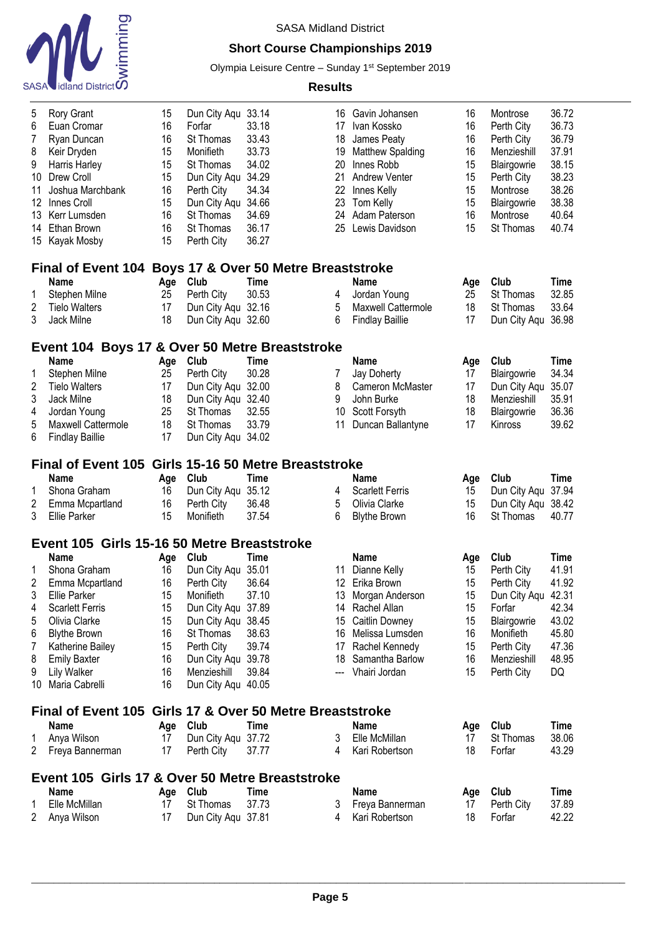

## **Short Course Championships 2019**

Olympia Leisure Centre - Sunday 1<sup>st</sup> September 2019

| 5              | Rory Grant                                                    | 15  | Dun City Aqu       | 33.14       | 16                                    | Gavin Johansen         | 16  | Montrose           | 36.72       |
|----------------|---------------------------------------------------------------|-----|--------------------|-------------|---------------------------------------|------------------------|-----|--------------------|-------------|
| 6              | Euan Cromar                                                   | 16  | Forfar             | 33.18       | 17                                    | Ivan Kossko            | 16  | Perth City         | 36.73       |
| $\overline{7}$ | Ryan Duncan                                                   | 16  | St Thomas          | 33.43       | 18                                    | James Peaty            | 16  | Perth City         | 36.79       |
| 8              | Keir Dryden                                                   | 15  | Monifieth          | 33.73       | 19                                    | Matthew Spalding       | 16  | Menzieshill        | 37.91       |
| 9              | Harris Harley                                                 | 15  | St Thomas          | 34.02       | 20                                    | Innes Robb             | 15  | Blairgowrie        | 38.15       |
|                | 10 Drew Croll                                                 | 15  | Dun City Aqu       | 34.29       | 21                                    | <b>Andrew Venter</b>   | 15  | Perth City         | 38.23       |
| 11             | Joshua Marchbank                                              | 16  | Perth City         | 34.34       | 22                                    | Innes Kelly            | 15  | Montrose           | 38.26       |
| 12             | Innes Croll                                                   | 15  | Dun City Aqu       | 34.66       | 23                                    | Tom Kelly              | 15  | Blairgowrie        | 38.38       |
| 13             | Kerr Lumsden                                                  | 16  | St Thomas          | 34.69       | 24                                    | Adam Paterson          | 16  | Montrose           | 40.64       |
| 14             | Ethan Brown                                                   | 16  | St Thomas          | 36.17       | 25                                    | Lewis Davidson         | 15  | St Thomas          | 40.74       |
|                | 15 Kayak Mosby                                                | 15  | Perth City         | 36.27       |                                       |                        |     |                    |             |
|                | Final of Event 104 Boys 17 & Over 50 Metre Breaststroke       |     |                    |             |                                       |                        |     |                    |             |
|                | <b>Name</b>                                                   | Age | Club               | Time        |                                       | <b>Name</b>            | Age | Club               | Time        |
| 1              | Stephen Milne                                                 | 25  | Perth City         | 30.53       | 4                                     | Jordan Young           | 25  | St Thomas          | 32.85       |
| $\overline{c}$ | <b>Tielo Walters</b>                                          | 17  | Dun City Aqu 32.16 |             | 5                                     | Maxwell Cattermole     | 18  | St Thomas          | 33.64       |
| 3              | Jack Milne                                                    | 18  | Dun City Aqu 32.60 |             | 6                                     | <b>Findlay Baillie</b> | 17  | Dun City Aqu       | 36.98       |
|                |                                                               |     |                    |             |                                       |                        |     |                    |             |
|                | Event 104 Boys 17 & Over 50 Metre Breaststroke<br><b>Name</b> | Age | Club               | Time        |                                       | <b>Name</b>            | Age | Club               | <b>Time</b> |
| 1              | Stephen Milne                                                 | 25  | Perth City         | 30.28       | 7                                     | <b>Jay Doherty</b>     | 17  | Blairgowrie        | 34.34       |
| $\overline{c}$ | <b>Tielo Walters</b>                                          | 17  | Dun City Aqu       | 32.00       | 8                                     | Cameron McMaster       | 17  | Dun City Aqu       | 35.07       |
| 3              | Jack Milne                                                    | 18  | Dun City Aqu 32.40 |             | 9                                     | John Burke             | 18  | Menzieshill        | 35.91       |
| 4              | Jordan Young                                                  | 25  | St Thomas          | 32.55       | 10                                    | Scott Forsyth          | 18  | Blairgowrie        | 36.36       |
| 5              | Maxwell Cattermole                                            | 18  | St Thomas          | 33.79       | 11                                    | Duncan Ballantyne      | 17  | Kinross            | 39.62       |
| 6              | <b>Findlay Baillie</b>                                        | 17  | Dun City Aqu 34.02 |             |                                       |                        |     |                    |             |
|                |                                                               |     |                    |             |                                       |                        |     |                    |             |
|                | <b>Final of Event 105</b>                                     |     |                    |             | Girls 15-16 50 Metre Breaststroke     |                        |     |                    |             |
|                | <b>Name</b>                                                   | Age | Club               | <b>Time</b> |                                       | <b>Name</b>            | Age | Club               | Time        |
| 1              | Shona Graham                                                  | 16  | Dun City Aqu       | 35.12       | 4                                     | <b>Scarlett Ferris</b> | 15  | Dun City Aqu       | 37.94       |
| 2              | Emma Mcpartland                                               | 16  | Perth City         | 36.48       | 5                                     | Olivia Clarke          | 15  | Dun City Aqu       | 38.42       |
| 3              | <b>Ellie Parker</b>                                           | 15  | Monifieth          | 37.54       | 6                                     | <b>Blythe Brown</b>    | 16  | St Thomas          | 40.77       |
|                | Event 105 Girls 15-16 50 Metre Breaststroke                   |     |                    |             |                                       |                        |     |                    |             |
|                | <b>Name</b>                                                   | Age | Club               | Time        |                                       | <b>Name</b>            | Age | Club               | <b>Time</b> |
| 1              | Shona Graham                                                  | 16  | Dun City Aqu       | 35.01       |                                       | 11 Dianne Kelly        | 15  | Perth City         | 41.91       |
| 2              | Emma Mcpartland                                               | 16  | Perth City         | 36.64       |                                       | 12 Erika Brown         | 15  | Perth City         | 41.92       |
| 3              | Ellie Parker                                                  | 15  | Monifieth          | 37.10       | 13                                    | Morgan Anderson        | 15  | Dun City Aqu 42.31 |             |
| 4              | <b>Scarlett Ferris</b>                                        | 15  | Dun City Aqu 37.89 |             | 14                                    | Rachel Allan           | 15  | Forfar             | 42.34       |
| 5              | Olivia Clarke                                                 | 15  | Dun City Aqu 38.45 |             | 15                                    | Caitlin Downey         | 15  | Blairgowrie        | 43.02       |
| 6              | <b>Blythe Brown</b>                                           | 16  | St Thomas          | 38.63       | 16                                    | Melissa Lumsden        | 16  | Monifieth          | 45.80       |
| 7              | Katherine Bailey                                              | 15  | Perth City         | 39.74       | 17                                    | Rachel Kennedy         | 15  | Perth City         | 47.36       |
| 8              | <b>Emily Baxter</b>                                           | 16  | Dun City Aqu       | 39.78       | 18                                    | Samantha Barlow        | 16  | Menzieshill        | 48.95       |
| 9              | Lily Walker                                                   | 16  | Menzieshill        | 39.84       | ---                                   | Vhairi Jordan          | 15  | Perth City         | DQ          |
| 10             | Maria Cabrelli                                                | 16  | Dun City Aqu 40.05 |             |                                       |                        |     |                    |             |
|                | <b>Final of Event 105</b>                                     |     |                    |             | Girls 17 & Over 50 Metre Breaststroke |                        |     |                    |             |
|                |                                                               |     |                    |             |                                       |                        |     |                    |             |
|                | <b>Name</b>                                                   |     | Age Club           | Time        |                                       | <b>Name</b>            | Age | Club               | Time        |
| 1              | Anya Wilson                                                   | 17  | Dun City Aqu 37.72 |             | 3                                     | Elle McMillan          | 17  | St Thomas          | 38.06       |
| 2              | Freya Bannerman                                               | 17  | Perth City         | 37.77       | 4                                     | Kari Robertson         | 18  | Forfar             | 43.29       |
|                | Event 105 Girls 17 & Over 50 Metre Breaststroke               |     |                    |             |                                       |                        |     |                    |             |
|                | <b>Name</b>                                                   |     | Age Club           | <b>Time</b> |                                       | <b>Name</b>            | Age | Club               | Time        |
| 1              | Elle McMillan                                                 | 17  | St Thomas          | 37.73       | 3                                     | Freya Bannerman        | 17  | Perth City         | 37.89       |
| 2              | Anya Wilson                                                   | 17  | Dun City Aqu 37.81 |             | 4                                     | Kari Robertson         | 18  | Forfar             | 42.22       |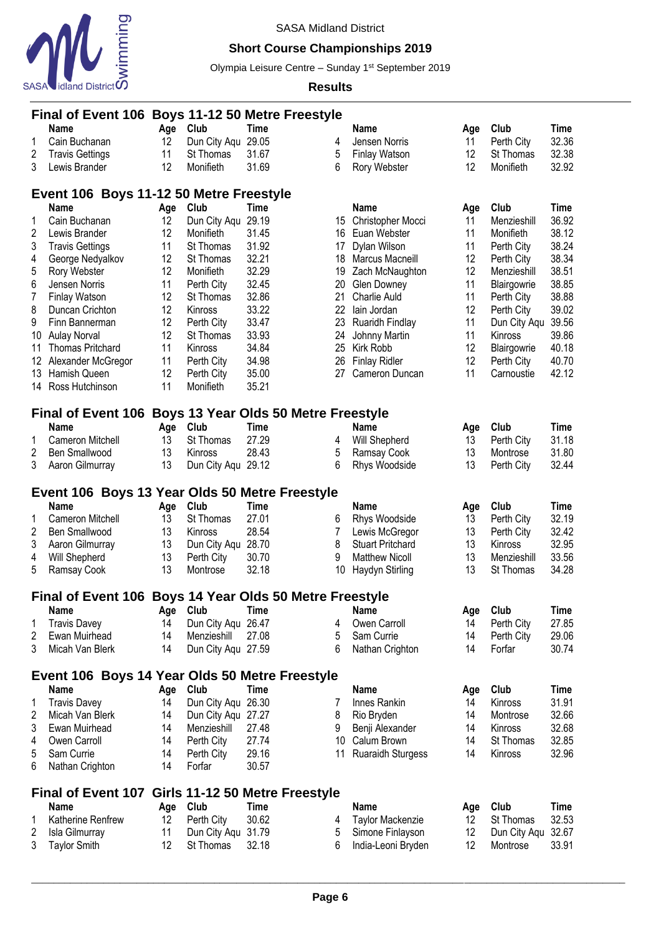

## **Short Course Championships 2019**

Olympia Leisure Centre - Sunday 1<sup>st</sup> September 2019

|                              | Final of Event 106 Boys 11-12 50 Metre Freestyle        |          |                                 |                                |        |                                        |          |                          |                |  |
|------------------------------|---------------------------------------------------------|----------|---------------------------------|--------------------------------|--------|----------------------------------------|----------|--------------------------|----------------|--|
|                              | <b>Name</b>                                             | Age      | Club                            | Time                           |        | <b>Name</b>                            | Age      | Club                     | <b>Time</b>    |  |
| 1                            | Cain Buchanan                                           | 12       | Dun City Aqu                    | 29.05                          | 4      | Jensen Norris                          | 11       | Perth City               | 32.36          |  |
| $\overline{\mathbf{c}}$      | <b>Travis Gettings</b>                                  | 11       | St Thomas                       | 31.67                          | 5      | <b>Finlay Watson</b>                   | 12       | St Thomas                | 32.38          |  |
| 3                            | Lewis Brander                                           | 12       | Monifieth                       | 31.69                          | 6      | Rory Webster                           | 12       | Monifieth                | 32.92          |  |
|                              |                                                         |          |                                 |                                |        |                                        |          |                          |                |  |
|                              | Event 106 Boys 11-12 50 Metre Freestyle                 |          |                                 |                                |        |                                        |          |                          |                |  |
|                              | <b>Name</b>                                             | Age      | Club                            | Time                           |        | <b>Name</b>                            | Age      | Club                     | <b>Time</b>    |  |
| 1                            | Cain Buchanan                                           | 12       | Dun City Aqu                    | 29.19                          | 15     | Christopher Mocci                      | 11       | Menzieshill              | 36.92          |  |
| $\sqrt{2}$                   | Lewis Brander                                           | 12       | Monifieth                       | 31.45                          | 16     | Euan Webster                           | 11       | Monifieth                | 38.12          |  |
| 3                            | <b>Travis Gettings</b>                                  | 11       | St Thomas                       | 31.92                          | 17     | Dylan Wilson                           | 11       | Perth City               | 38.24          |  |
| 4                            | George Nedyalkov                                        | 12       | St Thomas                       | 32.21                          | 18     | Marcus Macneill                        | 12       | Perth City               | 38.34          |  |
| 5                            | Rory Webster                                            | 12       | Monifieth                       | 32.29                          | 19     | Zach McNaughton                        | 12       | Menzieshill              | 38.51          |  |
| 6                            | Jensen Norris                                           | 11       | Perth City                      | 32.45                          | 20     | <b>Glen Downey</b>                     | 11       | Blairgowrie              | 38.85          |  |
| 7                            | Finlay Watson                                           | 12       | St Thomas                       | 32.86                          | 21     | <b>Charlie Auld</b>                    | 11       | Perth City               | 38.88          |  |
| 8                            | Duncan Crichton                                         | 12       | Kinross                         | 33.22                          | 22     | lain Jordan                            | 12       | Perth City               | 39.02          |  |
| 9                            | Finn Bannerman                                          | 12       | Perth City                      | 33.47                          | 23     | Ruaridh Findlay                        | 11       | Dun City Aqu             | 39.56          |  |
| 10                           | <b>Aulay Norval</b>                                     | 12       | St Thomas                       | 33.93                          | 24     | Johnny Martin                          | 11       | Kinross                  | 39.86          |  |
| 11                           | <b>Thomas Pritchard</b>                                 | 11       | Kinross                         | 34.84                          | 25     | Kirk Robb                              | 12       |                          | 40.18          |  |
|                              |                                                         |          |                                 |                                | 26     | <b>Finlay Ridler</b>                   | 12       | Blairgowrie              |                |  |
| 12 <sup>°</sup>              | Alexander McGregor                                      | 11       | Perth City                      | 34.98                          |        |                                        |          | Perth City               | 40.70          |  |
| 13                           | Hamish Queen                                            | 12       | Perth City                      | 35.00                          | 27     | Cameron Duncan                         | 11       | Carnoustie               | 42.12          |  |
|                              | 14 Ross Hutchinson                                      | 11       | Monifieth                       | 35.21                          |        |                                        |          |                          |                |  |
|                              | Final of Event 106 Boys 13 Year Olds 50 Metre Freestyle |          |                                 |                                |        |                                        |          |                          |                |  |
|                              | <b>Name</b>                                             | Age      | Club                            | <b>Time</b>                    |        | <b>Name</b>                            | Age      | Club                     | <b>Time</b>    |  |
| 1                            | Cameron Mitchell                                        | 13       | St Thomas                       | 27.29                          | 4      | Will Shepherd                          | 13       | Perth City               | 31.18          |  |
| $\boldsymbol{2}$             | Ben Smallwood                                           | 13       | Kinross                         | 28.43                          | 5      | Ramsay Cook                            | 13       | Montrose                 | 31.80          |  |
| 3                            | Aaron Gilmurray                                         | 13       | Dun City Aqu 29.12              |                                | 6      | Rhys Woodside                          | 13       | Perth City               | 32.44          |  |
|                              |                                                         |          |                                 |                                |        |                                        |          |                          |                |  |
|                              |                                                         |          |                                 |                                |        |                                        |          |                          |                |  |
|                              | Event 106 Boys 13 Year Olds 50 Metre Freestyle          |          |                                 |                                |        |                                        |          |                          |                |  |
|                              | <b>Name</b>                                             | Age      | Club                            | <b>Time</b>                    |        | <b>Name</b>                            | Age      | Club                     | <b>Time</b>    |  |
| 1                            | Cameron Mitchell                                        | 13       | St Thomas                       | 27.01                          | 6      | Rhys Woodside                          | 13       | Perth City               | 32.19          |  |
| 2                            | Ben Smallwood                                           | 13       | Kinross                         | 28.54                          | 7      | Lewis McGregor                         | 13       | Perth City               | 32.42          |  |
| 3                            | Aaron Gilmurray                                         | 13       | Dun City Aqu                    | 28.70                          | 8      | <b>Stuart Pritchard</b>                | 13       | Kinross                  | 32.95          |  |
| 4                            | Will Shepherd                                           | 13       | Perth City                      | 30.70                          | 9      | <b>Matthew Nicoll</b>                  | 13       | Menzieshill              | 33.56          |  |
| 5                            | Ramsay Cook                                             | 13       | Montrose                        | 32.18                          | 10     | Haydyn Stirling                        | 13       | St Thomas                | 34.28          |  |
|                              |                                                         |          |                                 |                                |        |                                        |          |                          |                |  |
|                              | Final of Event 106 Boys 14 Year Olds 50 Metre Freestyle |          |                                 |                                |        |                                        |          |                          |                |  |
|                              | <b>Name</b>                                             | Age      | Club                            | <b>Time</b>                    |        | <b>Name</b>                            | Age      | Club                     | Time           |  |
| 1                            | <b>Travis Davey</b>                                     | 14       | Dun City Aqu 26.47              |                                | 4      | Owen Carroll                           | 14       | Perth City               | 27.85          |  |
| 2                            | Ewan Muirhead                                           | 14       | Menzieshill                     | 27.08                          | 5      | Sam Currie                             | 14       | Perth City               | 29.06          |  |
| 3                            | Micah Van Blerk                                         | 14       | Dun City Agu 27.59              |                                | 6      | Nathan Crighton                        | 14       | Forfar                   | 30.74          |  |
|                              |                                                         |          |                                 |                                |        |                                        |          |                          |                |  |
|                              | Event 106 Boys 14 Year Olds 50 Metre Freestyle          |          |                                 |                                |        |                                        |          |                          |                |  |
|                              | <b>Name</b>                                             | Age      | Club                            | <b>Time</b>                    |        | Name                                   | Age      | Club                     | <b>Time</b>    |  |
| 1                            | <b>Travis Davey</b>                                     | 14       | Dun City Aqu 26.30              |                                | 7      | Innes Rankin                           | 14       | Kinross                  | 31.91          |  |
| 2                            | Micah Van Blerk                                         | 14       | Dun City Agu 27.27              |                                | 8      | Rio Bryden                             | 14       | Montrose                 | 32.66          |  |
| 3                            | Ewan Muirhead                                           | 14       | Menzieshill                     | 27.48                          | 9      | Benji Alexander                        | 14       | Kinross                  | 32.68          |  |
| 4                            | Owen Carroll                                            | 14       | Perth City                      | 27.74                          | 10     | Calum Brown                            | 14       | St Thomas                | 32.85          |  |
| 5<br>6                       | Sam Currie                                              | 14<br>14 | Perth City<br>Forfar            | 29.16                          | 11     | <b>Ruaraidh Sturgess</b>               | 14       | Kinross                  | 32.96          |  |
|                              | Nathan Crighton                                         |          |                                 | 30.57                          |        |                                        |          |                          |                |  |
|                              | <b>Final of Event 107</b>                               |          |                                 | Girls 11-12 50 Metre Freestyle |        |                                        |          |                          |                |  |
|                              | <b>Name</b>                                             | Age      | Club                            | <b>Time</b>                    |        | <b>Name</b>                            | Age      | Club                     | <b>Time</b>    |  |
| 1                            | Katherine Renfrew                                       | 12       | Perth City                      | 30.62                          | 4      | Taylor Mackenzie                       | 12       | St Thomas                | 32.53          |  |
| $\overline{\mathbf{c}}$<br>3 | Isla Gilmurray<br><b>Taylor Smith</b>                   | 11<br>12 | Dun City Aqu 31.79<br>St Thomas | 32.18                          | 5<br>6 | Simone Finlayson<br>India-Leoni Bryden | 12<br>12 | Dun City Aqu<br>Montrose | 32.67<br>33.91 |  |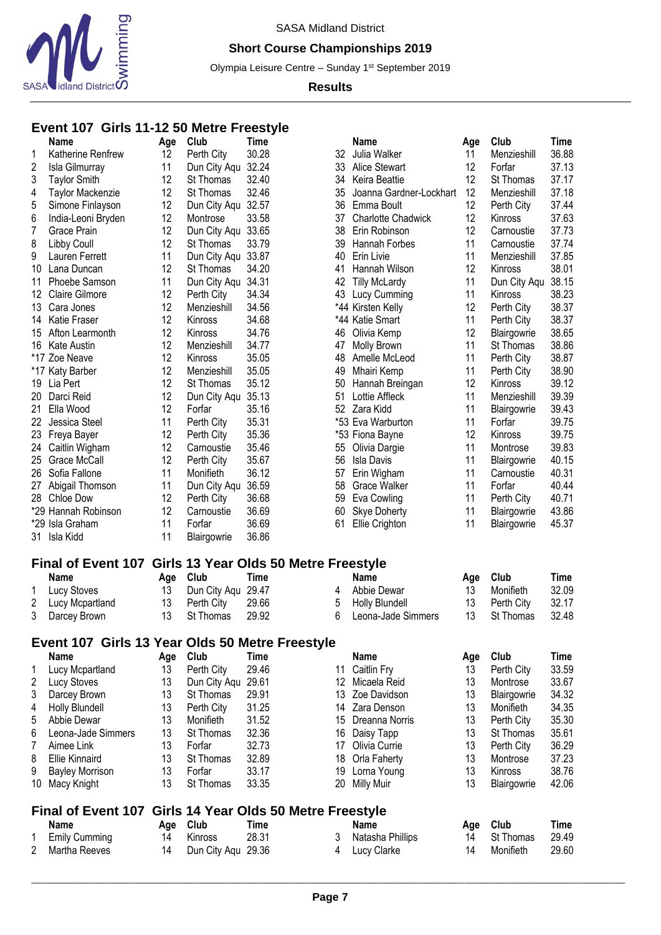

## **Short Course Championships 2019**

Olympia Leisure Centre - Sunday 1<sup>st</sup> September 2019

### **Results**

## **Event 107 Girls 11-12 50 Metre Freestyle**

|                | <b>Name</b>                                     | Age | Club               | <b>Time</b>                           |    | <b>Name</b>               | Age | Club         | Time        |
|----------------|-------------------------------------------------|-----|--------------------|---------------------------------------|----|---------------------------|-----|--------------|-------------|
| 1              | Katherine Renfrew                               | 12  | Perth City         | 30.28                                 | 32 | Julia Walker              | 11  | Menzieshill  | 36.88       |
| $\overline{c}$ | Isla Gilmurray                                  | 11  | Dun City Aqu       | 32.24                                 | 33 | Alice Stewart             | 12  | Forfar       | 37.13       |
| 3              | <b>Taylor Smith</b>                             | 12  | St Thomas          | 32.40                                 | 34 | Keira Beattie             | 12  | St Thomas    | 37.17       |
| 4              | Taylor Mackenzie                                | 12  | St Thomas          | 32.46                                 | 35 | Joanna Gardner-Lockhart   | 12  | Menzieshill  | 37.18       |
| 5              | Simone Finlayson                                | 12  | Dun City Aqu       | 32.57                                 | 36 | Emma Boult                | 12  | Perth City   | 37.44       |
| 6              | India-Leoni Bryden                              | 12  | Montrose           | 33.58                                 | 37 | <b>Charlotte Chadwick</b> | 12  | Kinross      | 37.63       |
| 7              | Grace Prain                                     | 12  | Dun City Aqu       | 33.65                                 | 38 | Erin Robinson             | 12  | Carnoustie   | 37.73       |
|                |                                                 | 12  | St Thomas          | 33.79                                 |    |                           | 11  |              | 37.74       |
| 8              | Libby Coull                                     |     |                    |                                       | 39 | Hannah Forbes             |     | Carnoustie   | 37.85       |
| 9              | Lauren Ferrett                                  | 11  | Dun City Aqu       | 33.87                                 | 40 | Erin Livie                | 11  | Menzieshill  |             |
| 10             | Lana Duncan                                     | 12  | St Thomas          | 34.20                                 | 41 | Hannah Wilson             | 12  | Kinross      | 38.01       |
| 11             | Phoebe Samson                                   | 11  | Dun City Aqu       | 34.31                                 | 42 | <b>Tilly McLardy</b>      | 11  | Dun City Aqu | 38.15       |
| 12             | <b>Claire Gilmore</b>                           | 12  | Perth City         | 34.34                                 | 43 | Lucy Cumming              | 11  | Kinross      | 38.23       |
| 13             | Cara Jones                                      | 12  | Menzieshill        | 34.56                                 |    | *44 Kirsten Kelly         | 12  | Perth City   | 38.37       |
| 14             | Katie Fraser                                    | 12  | Kinross            | 34.68                                 |    | *44 Katie Smart           | 11  | Perth City   | 38.37       |
| 15             | Afton Learmonth                                 | 12  | Kinross            | 34.76                                 | 46 | Olivia Kemp               | 12  | Blairgowrie  | 38.65       |
| 16             | <b>Kate Austin</b>                              | 12  | Menzieshill        | 34.77                                 | 47 | <b>Molly Brown</b>        | 11  | St Thomas    | 38.86       |
|                | *17 Zoe Neave                                   | 12  | Kinross            | 35.05                                 | 48 | Amelle McLeod             | 11  | Perth City   | 38.87       |
|                | *17 Katy Barber                                 | 12  | Menzieshill        | 35.05                                 | 49 | Mhairi Kemp               | 11  | Perth City   | 38.90       |
|                | 19 Lia Pert                                     | 12  | St Thomas          | 35.12                                 | 50 | Hannah Breingan           | 12  | Kinross      | 39.12       |
| 20             | Darci Reid                                      | 12  | Dun City Aqu       | 35.13                                 | 51 | Lottie Affleck            | 11  | Menzieshill  | 39.39       |
| 21             | Ella Wood                                       | 12  | Forfar             | 35.16                                 |    | 52 Zara Kidd              | 11  | Blairgowrie  | 39.43       |
| 22             | Jessica Steel                                   | 11  | Perth City         | 35.31                                 |    | *53 Eva Warburton         | 11  | Forfar       | 39.75       |
| 23             | Freya Bayer                                     | 12  | Perth City         | 35.36                                 |    | *53 Fiona Bayne           | 12  | Kinross      | 39.75       |
| 24             | Caitlin Wigham                                  | 12  | Carnoustie         | 35.46                                 | 55 | Olivia Dargie             | 11  | Montrose     | 39.83       |
|                | 25 Grace McCall                                 | 12  | Perth City         | 35.67                                 | 56 | <b>Isla Davis</b>         | 11  | Blairgowrie  | 40.15       |
| 26             | Sofia Fallone                                   | 11  | Monifieth          | 36.12                                 | 57 | Erin Wigham               | 11  | Carnoustie   | 40.31       |
| 27             | Abigail Thomson                                 | 11  | Dun City Aqu       | 36.59                                 | 58 | <b>Grace Walker</b>       | 11  | Forfar       | 40.44       |
| 28             | Chloe Dow                                       | 12  | Perth City         | 36.68                                 | 59 | Eva Cowling               | 11  | Perth City   | 40.71       |
|                | *29 Hannah Robinson                             | 12  | Carnoustie         | 36.69                                 | 60 | Skye Doherty              | 11  | Blairgowrie  | 43.86       |
|                |                                                 | 11  |                    | 36.69                                 |    |                           | 11  |              |             |
|                | *29 Isla Graham                                 |     | Forfar             |                                       | 61 | Ellie Crighton            |     | Blairgowrie  | 45.37       |
| 31             | Isla Kidd                                       | 11  | Blairgowrie        | 36.86                                 |    |                           |     |              |             |
|                | <b>Final of Event 107</b>                       |     |                    | Girls 13 Year Olds 50 Metre Freestyle |    |                           |     |              |             |
|                | <b>Name</b>                                     | Age | Club               | <b>Time</b>                           |    | Name                      | Age | Club         | Time        |
| 1              | Lucy Stoves                                     | 13  | Dun City Aqu       | 29.47                                 | 4  | Abbie Dewar               | 13  | Monifieth    | 32.09       |
| 2              | Lucy Mcpartland                                 | 13  | Perth City         | 29.66                                 | 5  | Holly Blundell            | 13  | Perth City   | 32.17       |
| 3              | Darcey Brown                                    | 13  | St Thomas          | 29.92                                 | 6  | Leona-Jade Simmers        | 13  | St Thomas    | 32.48       |
|                |                                                 |     |                    |                                       |    |                           |     |              |             |
|                | Event 107 Girls 13 Year Olds 50 Metre Freestyle |     |                    |                                       |    |                           |     |              |             |
|                | <b>Name</b>                                     | Age | Club               | <b>Time</b>                           |    | Name                      | Age | Club         | <b>Time</b> |
| 1              | Lucy Mcpartland                                 | 13  | Perth City         | 29.46                                 | 11 | Caitlin Fry               | 13  | Perth City   | 33.59       |
| 2              | Lucy Stoves                                     | 13  | Dun City Aqu       | 29.61                                 | 12 | Micaela Reid              | 13  | Montrose     | 33.67       |
| 3              | Darcey Brown                                    | 13  | St Thomas          | 29.91                                 | 13 | Zoe Davidson              | 13  | Blairgowrie  | 34.32       |
| 4              | <b>Holly Blundell</b>                           | 13  | Perth City         | 31.25                                 | 14 | Zara Denson               | 13  | Monifieth    | 34.35       |
| 5              | Abbie Dewar                                     | 13  | Monifieth          | 31.52                                 | 15 | Dreanna Norris            | 13  | Perth City   | 35.30       |
| 6              | Leona-Jade Simmers                              | 13  | St Thomas          | 32.36                                 | 16 | Daisy Tapp                | 13  | St Thomas    | 35.61       |
|                |                                                 |     |                    |                                       |    |                           |     |              |             |
| 7              | Aimee Link                                      | 13  | Forfar             | 32.73                                 | 17 | Olivia Currie             | 13  | Perth City   | 36.29       |
| 8              | <b>Ellie Kinnaird</b>                           | 13  | St Thomas          | 32.89                                 | 18 | Orla Faherty              | 13  | Montrose     | 37.23       |
| 9              | <b>Bayley Morrison</b>                          | 13  | Forfar             | 33.17                                 | 19 | Lorna Young               | 13  | Kinross      | 38.76       |
| 10             | Macy Knight                                     | 13  | St Thomas          | 33.35                                 | 20 | <b>Milly Muir</b>         | 13  | Blairgowrie  | 42.06       |
|                | <b>Final of Event 107</b>                       |     |                    | Girls 14 Year Olds 50 Metre Freestyle |    |                           |     |              |             |
|                | Name                                            | Age | Club               | <b>Time</b>                           |    | <b>Name</b>               | Age | Club         | <b>Time</b> |
| 1              | <b>Emily Cumming</b>                            | 14  | Kinross            | 28.31                                 | 3  | Natasha Phillips          | 14  | St Thomas    | 29.49       |
| 2              | Martha Reeves                                   | 14  | Dun City Aqu 29.36 |                                       | 4  | Lucy Clarke               | 14  | Monifieth    | 29.60       |
|                |                                                 |     |                    |                                       |    |                           |     |              |             |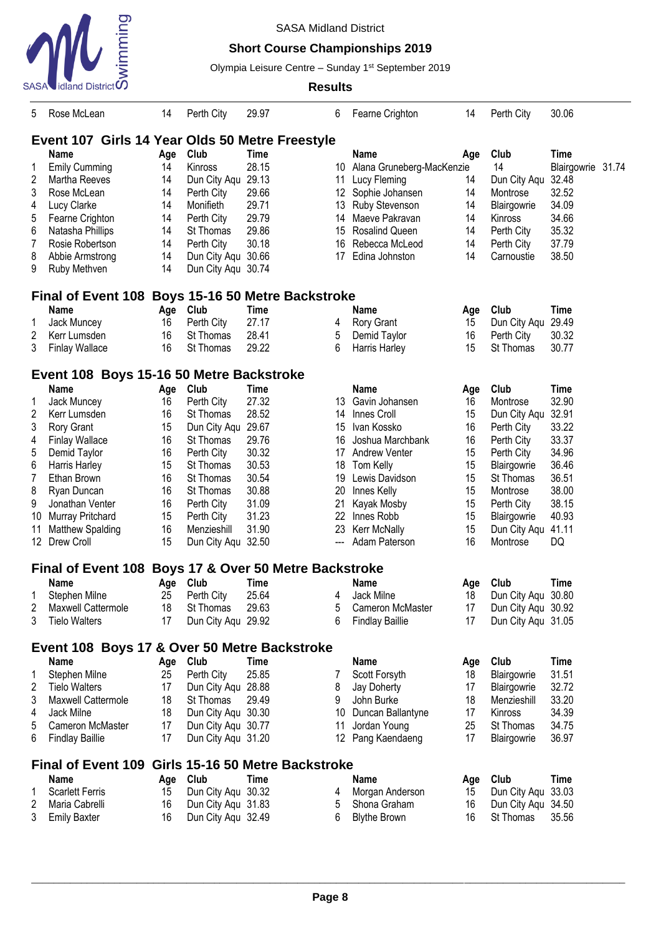

## **Short Course Championships 2019**

Olympia Leisure Centre - Sunday 1<sup>st</sup> September 2019

| 5  | Rose McLean                                        | 14  | Perth City         | 29.97                              | 6               | Fearne Crighton           | 14  | Perth City         | 30.06       |       |
|----|----------------------------------------------------|-----|--------------------|------------------------------------|-----------------|---------------------------|-----|--------------------|-------------|-------|
|    | Event 107 Girls 14 Year Olds 50 Metre Freestyle    |     |                    |                                    |                 |                           |     |                    |             |       |
|    | <b>Name</b>                                        | Age | Club               | <b>Time</b>                        |                 | <b>Name</b>               | Age | Club               | <b>Time</b> |       |
| 1  | <b>Emily Cumming</b>                               | 14  | Kinross            | 28.15                              | 10              | Alana Gruneberg-MacKenzie |     | 14                 | Blairgowrie | 31.74 |
| 2  | Martha Reeves                                      | 14  | Dun City Aqu 29.13 |                                    | 11              | Lucy Fleming              | 14  | Dun City Aqu 32.48 |             |       |
| 3  | Rose McLean                                        | 14  | Perth City         | 29.66                              | 12              | Sophie Johansen           | 14  | Montrose           | 32.52       |       |
| 4  | Lucy Clarke                                        | 14  | Monifieth          | 29.71                              | 13              | Ruby Stevenson            | 14  |                    | 34.09       |       |
|    |                                                    |     |                    | 29.79                              |                 | Maeve Pakravan            |     | Blairgowrie        | 34.66       |       |
| 5  | Fearne Crighton                                    | 14  | Perth City         |                                    | 14              |                           | 14  | Kinross            |             |       |
| 6  | Natasha Phillips                                   | 14  | St Thomas          | 29.86                              | 15              | Rosalind Queen            | 14  | Perth City         | 35.32       |       |
| 7  | Rosie Robertson                                    | 14  | Perth City         | 30.18                              | 16              | Rebecca McLeod            | 14  | Perth City         | 37.79       |       |
| 8  | Abbie Armstrong                                    | 14  | Dun City Aqu 30.66 |                                    | 17              | Edina Johnston            | 14  | Carnoustie         | 38.50       |       |
| 9  | Ruby Methven                                       | 14  | Dun City Aqu 30.74 |                                    |                 |                           |     |                    |             |       |
|    | Final of Event 108 Boys 15-16 50 Metre Backstroke  |     |                    |                                    |                 |                           |     |                    |             |       |
|    | <b>Name</b>                                        | Age | Club               | <b>Time</b>                        |                 | <b>Name</b>               | Age | Club               | <b>Time</b> |       |
| 1  | Jack Muncey                                        | 16  | Perth City         | 27.17                              | 4               | <b>Rory Grant</b>         | 15  | Dun City Aqu 29.49 |             |       |
| 2  | Kerr Lumsden                                       | 16  | St Thomas          | 28.41                              | 5               | Demid Taylor              | 16  | Perth City         | 30.32       |       |
| 3  | <b>Finlay Wallace</b>                              | 16  | St Thomas          | 29.22                              | 6               | Harris Harley             | 15  | St Thomas          | 30.77       |       |
|    | Event 108 Boys 15-16 50 Metre Backstroke           |     |                    |                                    |                 |                           |     |                    |             |       |
|    | <b>Name</b>                                        | Age | Club               | <b>Time</b>                        |                 | <b>Name</b>               | Age | Club               | <b>Time</b> |       |
| 1  | Jack Muncey                                        | 16  | Perth City         | 27.32                              | 13              | Gavin Johansen            | 16  | Montrose           | 32.90       |       |
| 2  | Kerr Lumsden                                       | 16  | St Thomas          | 28.52                              | 14              | Innes Croll               | 15  | Dun City Aqu 32.91 |             |       |
| 3  | Rory Grant                                         | 15  | Dun City Aqu       | 29.67                              | 15              | Ivan Kossko               | 16  | Perth City         | 33.22       |       |
| 4  | <b>Finlay Wallace</b>                              | 16  | St Thomas          | 29.76                              | 16              | Joshua Marchbank          | 16  | Perth City         | 33.37       |       |
| 5  | Demid Taylor                                       | 16  | Perth City         | 30.32                              | 17              | <b>Andrew Venter</b>      | 15  | Perth City         | 34.96       |       |
| 6  | Harris Harley                                      | 15  | St Thomas          | 30.53                              | 18              | Tom Kelly                 | 15  | Blairgowrie        | 36.46       |       |
| 7  | Ethan Brown                                        | 16  | St Thomas          | 30.54                              | 19              | Lewis Davidson            | 15  | St Thomas          | 36.51       |       |
|    |                                                    |     |                    |                                    |                 |                           |     |                    | 38.00       |       |
| 8  | Ryan Duncan                                        | 16  | St Thomas          | 30.88                              | 20              | Innes Kelly               | 15  | Montrose           |             |       |
| 9  | Jonathan Venter                                    | 16  | Perth City         | 31.09                              | 21              | Kayak Mosby               | 15  | Perth City         | 38.15       |       |
| 10 | Murray Pritchard                                   | 15  | Perth City         | 31.23                              | 22              | Innes Robb                | 15  | Blairgowrie        | 40.93       |       |
| 11 | Matthew Spalding                                   | 16  | Menzieshill        | 31.90                              | 23              | Kerr McNally              | 15  | Dun City Aqu 41.11 |             |       |
| 12 | Drew Croll                                         | 15  | Dun City Aqu 32.50 |                                    |                 | Adam Paterson             | 16  | Montrose           | DQ          |       |
|    | <b>Final of Event 108</b>                          |     |                    | Boys 17 & Over 50 Metre Backstroke |                 |                           |     |                    |             |       |
|    | Name                                               | Age | Club               | Time                               |                 | Name                      | Age | Club               | Time        |       |
|    | Stephen Milne                                      | 25  | Perth City         | 25.64                              | 4               | Jack Milne                | 18  | Dun City Aqu 30.80 |             |       |
| 2  | Maxwell Cattermole                                 | 18  | St Thomas          | 29.63                              | 5               | Cameron McMaster          | 17  | Dun City Aqu 30.92 |             |       |
| 3  | <b>Tielo Walters</b>                               | 17  | Dun City Aqu 29.92 |                                    | 6               | <b>Findlay Baillie</b>    | 17  | Dun City Aqu 31.05 |             |       |
|    | Event 108 Boys 17 & Over 50 Metre Backstroke       |     |                    |                                    |                 |                           |     |                    |             |       |
|    | <b>Name</b>                                        | Age | <b>Club</b>        | Time                               |                 | <b>Name</b>               | Age | Club               | <b>Time</b> |       |
|    | Stephen Milne                                      | 25  | Perth City         | 25.85                              |                 | Scott Forsyth             | 18  | Blairgowrie        | 31.51       |       |
| 2  | <b>Tielo Walters</b>                               | 17  | Dun City Aqu       | 28.88                              | 8               | Jay Doherty               | 17  | Blairgowrie        | 32.72       |       |
| 3  | Maxwell Cattermole                                 | 18  | St Thomas          | 29.49                              | 9               | John Burke                | 18  | Menzieshill        | 33.20       |       |
| 4  | Jack Milne                                         | 18  | Dun City Aqu 30.30 |                                    |                 | 10 Duncan Ballantyne      | 17  | Kinross            | 34.39       |       |
|    |                                                    | 17  |                    |                                    |                 | Jordan Young              | 25  | St Thomas          | 34.75       |       |
| 5  | Cameron McMaster                                   |     | Dun City Aqu 30.77 |                                    | 11              |                           |     |                    |             |       |
| 6  | <b>Findlay Baillie</b>                             | 17  | Dun City Aqu 31.20 |                                    | 12 <sup>°</sup> | Pang Kaendaeng            | 17  | Blairgowrie        | 36.97       |       |
|    | Final of Event 109 Girls 15-16 50 Metre Backstroke |     |                    |                                    |                 |                           |     |                    |             |       |
|    | <b>Name</b>                                        | Age | Club               | <b>Time</b>                        |                 | <b>Name</b>               | Age | Club               | <b>Time</b> |       |
|    | <b>Scarlett Ferris</b>                             | 15  | Dun City Aqu 30.32 |                                    | 4               | Morgan Anderson           | 15  | Dun City Aqu 33.03 |             |       |
| 2  | Maria Cabrelli                                     | 16  | Dun City Aqu 31.83 |                                    | 5               | Shona Graham              | 16  | Dun City Aqu 34.50 |             |       |
| 3  | <b>Emily Baxter</b>                                | 16  | Dun City Aqu 32.49 |                                    | 6               | <b>Blythe Brown</b>       | 16  | St Thomas          | 35.56       |       |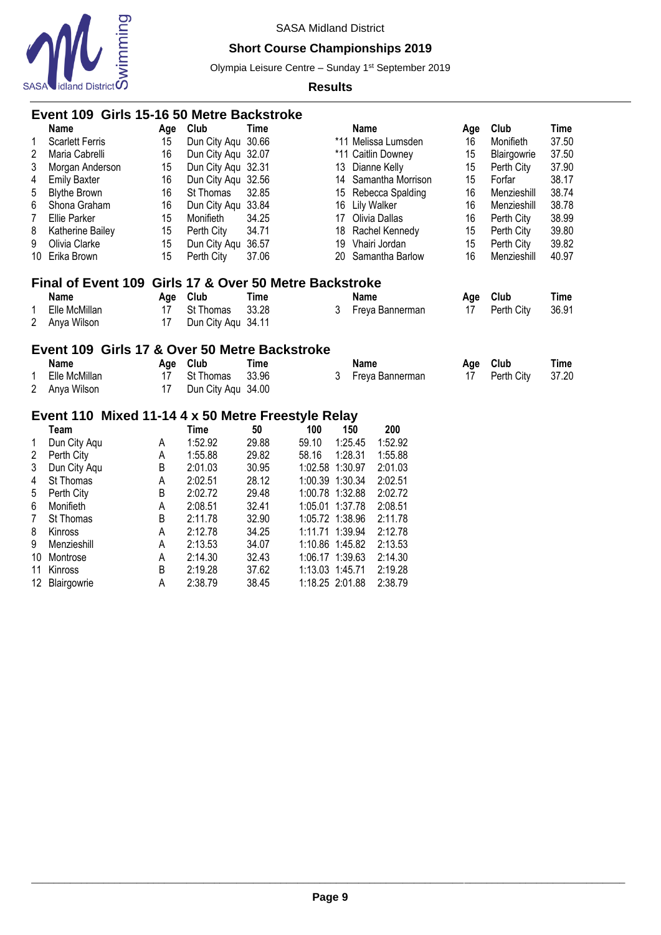

## **Short Course Championships 2019**

Olympia Leisure Centre - Sunday 1<sup>st</sup> September 2019

|                | Event 109 Girls 15-16 50 Metre Backstroke                        |           |                    |             |                 |    |             |                     |     |             |             |
|----------------|------------------------------------------------------------------|-----------|--------------------|-------------|-----------------|----|-------------|---------------------|-----|-------------|-------------|
|                | Name                                                             | Age       | Club               | <b>Time</b> |                 |    | <b>Name</b> |                     | Age | Club        | Time        |
| 1              | <b>Scarlett Ferris</b>                                           | 15        | Dun City Aqu 30.66 |             |                 |    |             | *11 Melissa Lumsden | 16  | Monifieth   | 37.50       |
| 2              | Maria Cabrelli                                                   | 16        | Dun City Aqu 32.07 |             |                 |    |             | *11 Caitlin Downey  | 15  | Blairgowrie | 37.50       |
| 3              | Morgan Anderson                                                  | 15        | Dun City Aqu 32.31 |             |                 | 13 |             | Dianne Kelly        | 15  | Perth City  | 37.90       |
| 4              | <b>Emily Baxter</b>                                              | 16        | Dun City Aqu 32.56 |             |                 | 14 |             | Samantha Morrison   | 15  | Forfar      | 38.17       |
| 5              | <b>Blythe Brown</b>                                              | 16        | St Thomas          | 32.85       |                 | 15 |             | Rebecca Spalding    | 16  | Menzieshill | 38.74       |
| 6              | Shona Graham                                                     | 16        | Dun City Aqu       | 33.84       |                 | 16 |             | <b>Lily Walker</b>  | 16  | Menzieshill | 38.78       |
| 7              | <b>Ellie Parker</b>                                              | 15        | Monifieth          | 34.25       |                 | 17 |             | Olivia Dallas       | 16  | Perth City  | 38.99       |
| 8              | Katherine Bailey                                                 | 15        | Perth City         | 34.71       |                 | 18 |             | Rachel Kennedy      | 15  | Perth City  | 39.80       |
| 9              | Olivia Clarke                                                    | 15        | Dun City Aqu       | 36.57       |                 | 19 |             | Vhairi Jordan       | 15  | Perth City  | 39.82       |
| 10             | Erika Brown                                                      | 15        | Perth City         | 37.06       |                 | 20 |             | Samantha Barlow     | 16  | Menzieshill | 40.97       |
|                | Girls 17 & Over 50 Metre Backstroke<br><b>Final of Event 109</b> |           |                    |             |                 |    |             |                     |     |             |             |
|                | Name                                                             | Age       | Club               | <b>Time</b> |                 |    | <b>Name</b> |                     | Age | Club        | <b>Time</b> |
| 1              | Elle McMillan                                                    | 17        | St Thomas          | 33.28       |                 | 3  |             | Freya Bannerman     | 17  | Perth City  | 36.91       |
| 2              | Anya Wilson                                                      | 17        | Dun City Aqu 34.11 |             |                 |    |             |                     |     |             |             |
|                | Event 109 Girls 17 & Over 50 Metre Backstroke                    |           |                    |             |                 |    |             |                     |     |             |             |
|                |                                                                  |           |                    |             |                 |    |             |                     |     |             |             |
|                | Name<br>Elle McMillan                                            | Age<br>17 | Club<br>St Thomas  | <b>Time</b> |                 | 3  | <b>Name</b> |                     | Age | Club        | <b>Time</b> |
| 1              |                                                                  |           |                    | 33.96       |                 |    |             | Freya Bannerman     | 17  | Perth City  | 37.20       |
| 2              | Anya Wilson                                                      | 17        | Dun City Aqu 34.00 |             |                 |    |             |                     |     |             |             |
|                | Event 110 Mixed 11-14 4 x 50 Metre Freestyle Relay               |           |                    |             |                 |    |             |                     |     |             |             |
|                | Team                                                             |           | <b>Time</b>        | 50          | 100             |    | 150         | 200                 |     |             |             |
| 1              | Dun City Aqu                                                     | Α         | 1:52.92            | 29.88       | 59.10           |    | 1:25.45     | 1:52.92             |     |             |             |
| $\overline{2}$ | Perth City                                                       | Α         | 1:55.88            | 29.82       | 58.16           |    | 1:28.31     | 1:55.88             |     |             |             |
| 3              | Dun City Aqu                                                     | В         | 2:01.03            | 30.95       | 1:02.58 1:30.97 |    |             | 2:01.03             |     |             |             |
| 4              | St Thomas                                                        | A         | 2:02.51            | 28.12       | 1:00.39 1:30.34 |    |             | 2:02.51             |     |             |             |
| 5              | Perth City                                                       | B         | 2:02.72            | 29.48       | 1:00.78 1:32.88 |    |             | 2:02.72             |     |             |             |
| 6              | Monifieth                                                        | A         | 2:08.51            | 32.41       | 1:05.01 1:37.78 |    |             | 2:08.51             |     |             |             |
| $\overline{7}$ | St Thomas                                                        | B         | 2:11.78            | 32.90       | 1:05.72 1:38.96 |    |             | 2:11.78             |     |             |             |
| 8              | Kinross                                                          | А         | 2:12.78            | 34.25       | 1:11.71 1:39.94 |    |             | 2:12.78             |     |             |             |
| 9              | Menzieshill                                                      | А         | 2:13.53            | 34.07       | 1:10.86 1:45.82 |    |             | 2:13.53             |     |             |             |
| 10             | Montrose                                                         | А         | 2:14.30            | 32.43       | 1:06.17 1:39.63 |    |             | 2:14.30             |     |             |             |
| 11             | Kinross                                                          | B         | 2:19.28            | 37.62       | 1:13.03 1:45.71 |    |             | 2:19.28             |     |             |             |
| 12             | Blairgowrie                                                      | A         | 2:38.79            | 38.45       | 1:18.25 2:01.88 |    |             | 2:38.79             |     |             |             |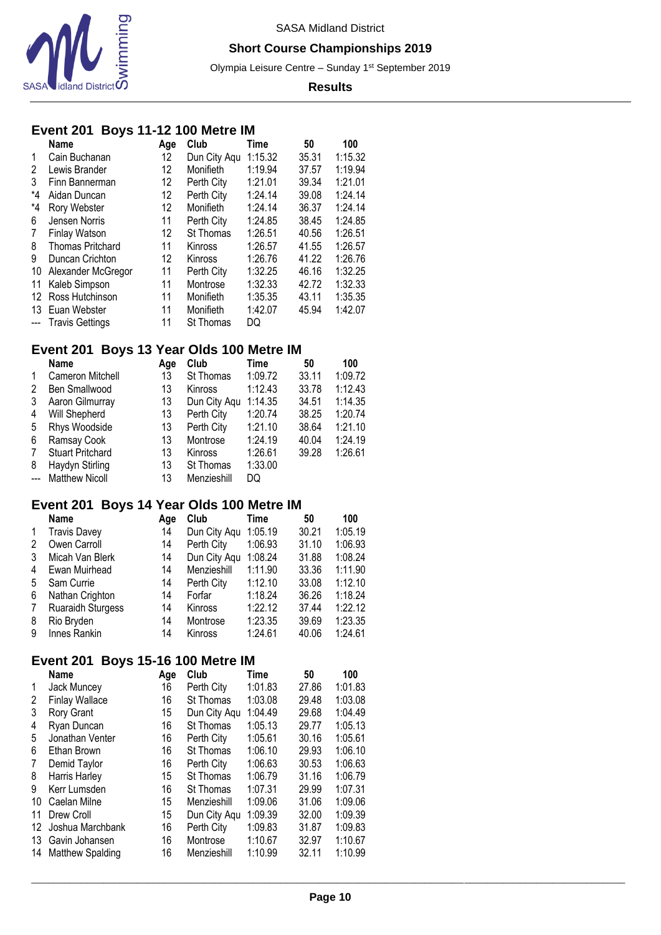

### **Short Course Championships 2019**

Olympia Leisure Centre - Sunday 1<sup>st</sup> September 2019

### **Results**

# **Event 201 Boys 11-12 100 Metre IM**

|       | <b>Name</b>             | Age | Club         | Time    | 50    | 100     |
|-------|-------------------------|-----|--------------|---------|-------|---------|
| 1     | Cain Buchanan           | 12  | Dun City Aqu | 1:15.32 | 35.31 | 1:15.32 |
| 2     | Lewis Brander           | 12  | Monifieth    | 1:19.94 | 37.57 | 1:19.94 |
| 3     | Finn Bannerman          | 12  | Perth City   | 1:21.01 | 39.34 | 1:21.01 |
| *4    | Aidan Duncan            | 12  | Perth City   | 1:24.14 | 39.08 | 1:24.14 |
| *4    | Rory Webster            | 12  | Monifieth    | 1:24.14 | 36.37 | 1:24.14 |
| 6     | Jensen Norris           | 11  | Perth City   | 1:24.85 | 38.45 | 1:24.85 |
| 7     | Finlay Watson           | 12  | St Thomas    | 1:26.51 | 40.56 | 1:26.51 |
| 8     | <b>Thomas Pritchard</b> | 11  | Kinross      | 1:26.57 | 41.55 | 1:26.57 |
| 9     | Duncan Crichton         | 12  | Kinross      | 1:26.76 | 41.22 | 1:26.76 |
| 10    | Alexander McGregor      | 11  | Perth City   | 1:32.25 | 46.16 | 1:32.25 |
| 11    | Kaleb Simpson           | 11  | Montrose     | 1:32.33 | 42.72 | 1:32.33 |
| 12    | Ross Hutchinson         | 11  | Monifieth    | 1:35.35 | 43.11 | 1:35.35 |
| 13    | Euan Webster            | 11  | Monifieth    | 1:42.07 | 45.94 | 1:42.07 |
| $---$ | <b>Travis Gettings</b>  | 11  | St Thomas    | DQ      |       |         |

# **Event 201 Boys 13 Year Olds 100 Metre IM**

|              | <b>Name</b>             | Age | Club           | Time    | 50    | 100     |
|--------------|-------------------------|-----|----------------|---------|-------|---------|
| $\mathbf{1}$ | Cameron Mitchell        | 13  | St Thomas      | 1:09.72 | 33.11 | 1:09.72 |
| 2            | Ben Smallwood           | 13  | Kinross        | 1:12.43 | 33.78 | 1:12.43 |
| 3            | Aaron Gilmurray         | 13  | Dun City Agu   | 1:14.35 | 34.51 | 1:14.35 |
| 4            | Will Shepherd           | 13  | Perth City     | 1:20.74 | 38.25 | 1:20.74 |
| 5            | Rhys Woodside           | 13  | Perth City     | 1:21.10 | 38.64 | 1:21.10 |
| 6            | Ramsay Cook             | 13  | Montrose       | 1:24.19 | 40.04 | 1:24.19 |
| 7            | <b>Stuart Pritchard</b> | 13  | <b>Kinross</b> | 1:26.61 | 39.28 | 1:26.61 |
| 8            | Haydyn Stirling         | 13  | St Thomas      | 1:33.00 |       |         |
| $---$        | <b>Matthew Nicoll</b>   | 13  | Menzieshill    | DQ      |       |         |

## **Event 201 Boys 14 Year Olds 100 Metre IM**

|              | <b>Name</b>              | Aae | Club         | Time    | 50    | 100     |
|--------------|--------------------------|-----|--------------|---------|-------|---------|
| $\mathbf{1}$ | <b>Travis Davey</b>      | 14  | Dun City Agu | 1:05.19 | 30.21 | 1:05.19 |
| 2            | Owen Carroll             | 14  | Perth City   | 1:06.93 | 31.10 | 1:06.93 |
| 3            | Micah Van Blerk          | 14  | Dun City Aqu | 1:08.24 | 31.88 | 1:08.24 |
| 4            | Ewan Muirhead            | 14  | Menzieshill  | 1:11.90 | 33.36 | 1:11.90 |
| 5            | Sam Currie               | 14  | Perth City   | 1:12.10 | 33.08 | 1:12.10 |
| 6            | Nathan Crighton          | 14  | Forfar       | 1:18.24 | 36.26 | 1:18.24 |
| 7            | <b>Ruaraidh Sturgess</b> | 14  | Kinross      | 1:22.12 | 37.44 | 1:22.12 |
| 8            | Rio Bryden               | 14  | Montrose     | 1:23.35 | 39.69 | 1:23.35 |
| 9            | Innes Rankin             | 14  | Kinross      | 1:24.61 | 40.06 | 1:24.61 |

## **Event 201 Boys 15-16 100 Metre IM**

|    | Name                    | Age | Club         | Time    | 50    | 100     |
|----|-------------------------|-----|--------------|---------|-------|---------|
| 1  | Jack Muncey             | 16  | Perth City   | 1:01.83 | 27.86 | 1:01.83 |
| 2  | <b>Finlay Wallace</b>   | 16  | St Thomas    | 1:03.08 | 29.48 | 1:03.08 |
| 3  | Rory Grant              | 15  | Dun City Aqu | 1:04.49 | 29.68 | 1:04.49 |
| 4  | Ryan Duncan             | 16  | St Thomas    | 1:05.13 | 29.77 | 1:05.13 |
| 5  | Jonathan Venter         | 16  | Perth City   | 1:05.61 | 30.16 | 1:05.61 |
| 6  | Ethan Brown             | 16  | St Thomas    | 1:06.10 | 29.93 | 1:06.10 |
| 7  | Demid Taylor            | 16  | Perth City   | 1:06.63 | 30.53 | 1:06.63 |
| 8  | Harris Harley           | 15  | St Thomas    | 1:06.79 | 31.16 | 1:06.79 |
| 9  | Kerr Lumsden            | 16  | St Thomas    | 1:07.31 | 29.99 | 1:07.31 |
| 10 | Caelan Milne            | 15  | Menzieshill  | 1:09.06 | 31.06 | 1:09.06 |
| 11 | Drew Croll              | 15  | Dun City Aqu | 1:09.39 | 32.00 | 1:09.39 |
| 12 | Joshua Marchbank        | 16  | Perth City   | 1:09.83 | 31.87 | 1:09.83 |
| 13 | Gavin Johansen          | 16  | Montrose     | 1:10.67 | 32.97 | 1:10.67 |
| 14 | <b>Matthew Spalding</b> | 16  | Menzieshill  | 1:10.99 | 32.11 | 1:10.99 |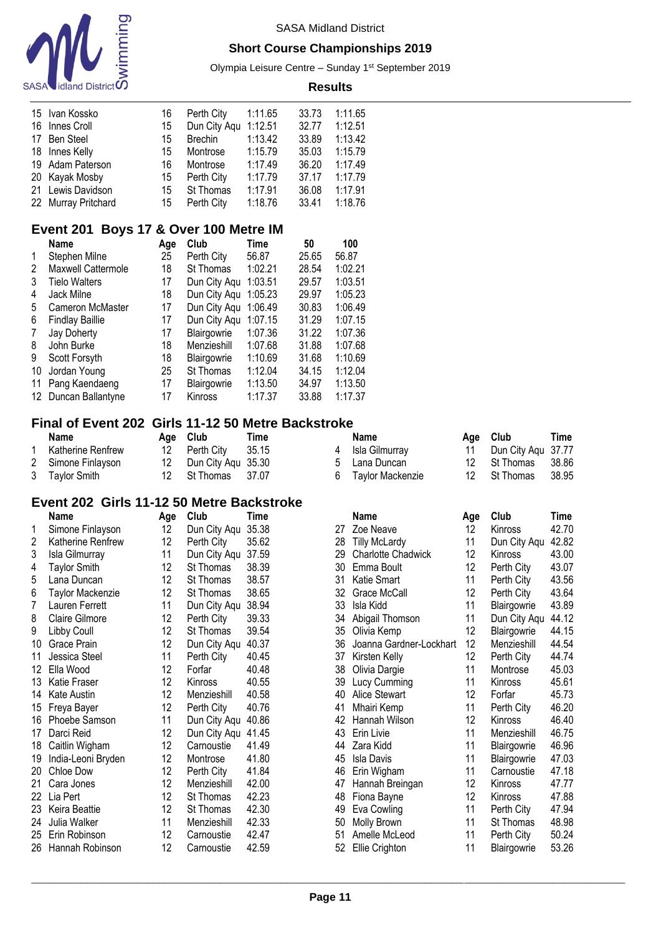

### **Short Course Championships 2019**

Olympia Leisure Centre - Sunday 1<sup>st</sup> September 2019 **Results**

| 15 Ivan Kossko      | 16 | Perth City   | 1:11.65 | 33.73 | 1:11.65 |
|---------------------|----|--------------|---------|-------|---------|
| 16 Innes Croll      | 15 | Dun City Agu | 1:12.51 | 32.77 | 1:12.51 |
| 17 Ben Steel        | 15 | Brechin      | 1:13.42 | 33.89 | 1:13.42 |
| 18 Innes Kelly      | 15 | Montrose     | 1:15.79 | 35.03 | 1:15.79 |
| 19 Adam Paterson    | 16 | Montrose     | 1:17.49 | 36.20 | 1:17.49 |
| 20 Kayak Mosby      | 15 | Perth City   | 1:17.79 | 37.17 | 1:17.79 |
| 21 Lewis Davidson   | 15 | St Thomas    | 1:17.91 | 36.08 | 1:17.91 |
| 22 Murray Pritchard | 15 | Perth City   | 1:18.76 | 33.41 | 1:18.76 |

# **Event 201 Boys 17 & Over 100 Metre IM**

|    | <b>Name</b>            | Age | Club         | Time    | 50    | 100     |
|----|------------------------|-----|--------------|---------|-------|---------|
| 1  | Stephen Milne          | 25  | Perth City   | 56.87   | 25.65 | 56.87   |
| 2  | Maxwell Cattermole     | 18  | St Thomas    | 1:02.21 | 28.54 | 1:02.21 |
| 3  | Tielo Walters          | 17  | Dun City Aqu | 1:03.51 | 29.57 | 1:03.51 |
| 4  | Jack Milne             | 18  | Dun City Aqu | 1:05.23 | 29.97 | 1:05.23 |
| 5  | Cameron McMaster       | 17  | Dun City Aqu | 1:06.49 | 30.83 | 1:06.49 |
| 6  | <b>Findlay Baillie</b> | 17  | Dun City Aqu | 1:07.15 | 31.29 | 1:07.15 |
|    | Jay Doherty            | 17  | Blairgowrie  | 1:07.36 | 31.22 | 1:07.36 |
| 8  | John Burke             | 18  | Menzieshill  | 1:07.68 | 31.88 | 1:07.68 |
| 9  | Scott Forsyth          | 18  | Blairgowrie  | 1:10.69 | 31.68 | 1:10.69 |
| 10 | Jordan Young           | 25  | St Thomas    | 1:12.04 | 34.15 | 1:12.04 |
| 11 | Pang Kaendaeng         | 17  | Blairgowrie  | 1:13.50 | 34.97 | 1:13.50 |
| 12 | Duncan Ballantyne      | 17  | Kinross      | 1:17.37 | 33.88 | 1:17.37 |

## **Final of Event 202 Girls 11-12 50 Metre Backstroke**

| Name                     | Age Club              | Time | <b>Name</b>        | Age Club           | Time   |
|--------------------------|-----------------------|------|--------------------|--------------------|--------|
| <b>Katherine Renfrew</b> | 12 Perth City 35.15   |      | Isla Gilmurray     | Dun City Agu 37.77 |        |
| 2 Simone Finlayson       | 12 Dun City Agu 35.30 |      | 5 Lana Duncan      | 12 St Thomas       | 38.86  |
| 3 Taylor Smith           | 12 St Thomas 37.07    |      | 6 Taylor Mackenzie | 12 St Thomas       | -38.95 |

### **Event 202 Girls 11-12 50 Metre Backstroke**

| Name                | Age                                         | Club                                                                 | Time                    |                                                                      | Name                      | Age                        | Club                       | Time  |
|---------------------|---------------------------------------------|----------------------------------------------------------------------|-------------------------|----------------------------------------------------------------------|---------------------------|----------------------------|----------------------------|-------|
| Simone Finlayson    | 12                                          | Dun City Aqu                                                         | 35.38                   | 27                                                                   | Zoe Neave                 | 12                         | Kinross                    | 42.70 |
| Katherine Renfrew   | 12                                          | Perth City                                                           | 35.62                   | 28                                                                   | <b>Tilly McLardy</b>      | 11                         | Dun City Aqu               | 42.82 |
| Isla Gilmurray      | 11                                          | Dun City Aqu                                                         | 37.59                   | 29                                                                   | <b>Charlotte Chadwick</b> | 12                         | <b>Kinross</b>             | 43.00 |
| <b>Taylor Smith</b> | 12                                          | St Thomas                                                            | 38.39                   | 30                                                                   | Emma Boult                | 12                         | Perth City                 | 43.07 |
| Lana Duncan         | 12                                          | St Thomas                                                            | 38.57                   | 31                                                                   | Katie Smart               | 11                         | Perth City                 | 43.56 |
| Taylor Mackenzie    | 12                                          | St Thomas                                                            | 38.65                   | 32                                                                   | Grace McCall              | 12                         | Perth City                 | 43.64 |
| Lauren Ferrett      | 11                                          | Dun City Aqu                                                         | 38.94                   | 33                                                                   | Isla Kidd                 | 11                         | Blairgowrie                | 43.89 |
| Claire Gilmore      | 12                                          | Perth City                                                           | 39.33                   | 34                                                                   | Abigail Thomson           | 11                         | Dun City Aqu               | 44.12 |
| Libby Coull         | 12                                          | St Thomas                                                            | 39.54                   | 35                                                                   | Olivia Kemp               | 12                         | Blairgowrie                | 44.15 |
| Grace Prain         | 12                                          | Dun City Aqu                                                         | 40.37                   | 36                                                                   | Joanna Gardner-Lockhart   | 12                         | Menzieshill                | 44.54 |
| Jessica Steel       | 11                                          | Perth City                                                           | 40.45                   | 37                                                                   | Kirsten Kelly             |                            | Perth City                 | 44.74 |
| Ella Wood           | 12                                          | Forfar                                                               | 40.48                   | 38                                                                   | Olivia Dargie             | 11                         | Montrose                   | 45.03 |
| Katie Fraser        |                                             | Kinross                                                              | 40.55                   | 39                                                                   | Lucy Cumming              | 11                         | Kinross                    | 45.61 |
| Kate Austin         |                                             | Menzieshill                                                          |                         | 40                                                                   | Alice Stewart             | 12                         | Forfar                     | 45.73 |
| Freya Bayer         |                                             |                                                                      | 40.76                   | 41                                                                   | Mhairi Kemp               | 11                         | Perth City                 | 46.20 |
| Phoebe Samson       |                                             | Dun City Aqu                                                         |                         | 42                                                                   | Hannah Wilson             |                            | Kinross                    | 46.40 |
| Darci Reid          |                                             | Dun City Aqu                                                         | 41.45                   | 43                                                                   | Erin Livie                |                            | Menzieshill                | 46.75 |
|                     |                                             | Carnoustie                                                           | 41.49                   | 44                                                                   | Zara Kidd                 | 11                         | Blairgowrie                | 46.96 |
| India-Leoni Bryden  |                                             | Montrose                                                             |                         | 45                                                                   | <b>Isla Davis</b>         | 11                         | Blairgowrie                | 47.03 |
| Chloe Dow           |                                             | Perth City                                                           |                         | 46                                                                   | Erin Wigham               | 11                         | Carnoustie                 | 47.18 |
| Cara Jones          |                                             | Menzieshill                                                          |                         | 47                                                                   | Hannah Breingan           |                            | Kinross                    | 47.77 |
|                     |                                             | St Thomas                                                            |                         | 48                                                                   | Fiona Bayne               | 12                         | <b>Kinross</b>             | 47.88 |
|                     |                                             |                                                                      |                         | 49                                                                   |                           |                            | Perth City                 | 47.94 |
| Julia Walker        | 11                                          | Menzieshill                                                          |                         | 50                                                                   |                           | 11                         | St Thomas                  | 48.98 |
| Erin Robinson       | 12                                          | Carnoustie                                                           | 42.47                   | 51                                                                   | Amelle McLeod             | 11                         | Perth City                 | 50.24 |
| Hannah Robinson     |                                             | Carnoustie                                                           | 42.59                   | 52                                                                   | Ellie Crighton            | 11                         | Blairgowrie                | 53.26 |
|                     | Caitlin Wigham<br>Lia Pert<br>Keira Beattie | 12<br>12<br>12<br>11<br>12<br>12<br>12<br>12<br>12<br>12<br>12<br>12 | Perth City<br>St Thomas | 40.58<br>40.86<br>41.80<br>41.84<br>42.00<br>42.23<br>42.30<br>42.33 |                           | Eva Cowling<br>Molly Brown | 12<br>12<br>11<br>12<br>11 |       |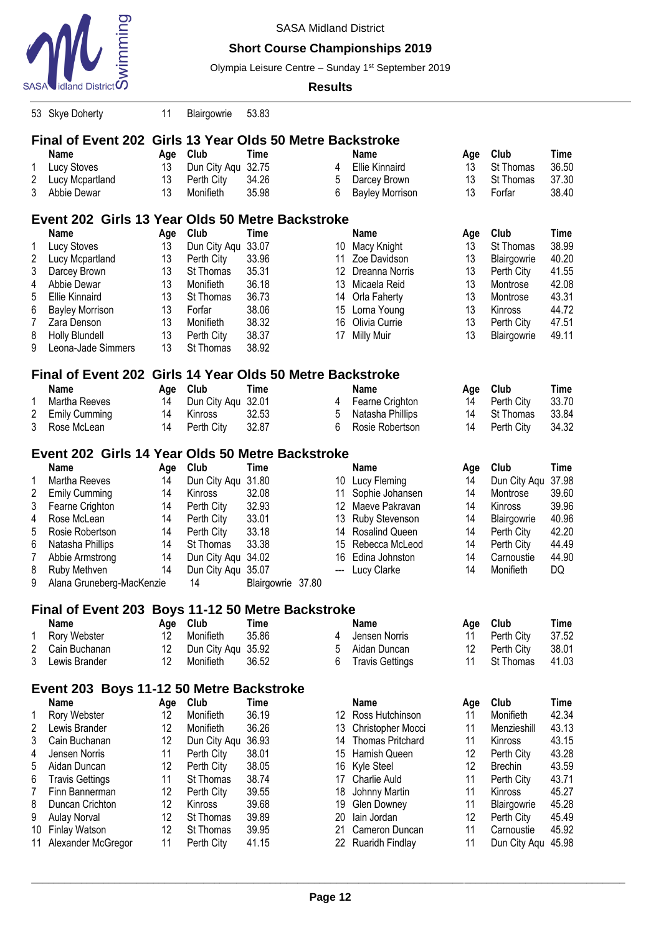

## **Short Course Championships 2019**

Olympia Leisure Centre - Sunday 1<sup>st</sup> September 2019

|                | 53 Skye Doherty                                           | 11  | Blairgowrie  | 53.83             |  |                 |                         |     |                    |             |  |  |  |
|----------------|-----------------------------------------------------------|-----|--------------|-------------------|--|-----------------|-------------------------|-----|--------------------|-------------|--|--|--|
|                | Final of Event 202 Girls 13 Year Olds 50 Metre Backstroke |     |              |                   |  |                 |                         |     |                    |             |  |  |  |
|                | <b>Name</b>                                               | Age | Club         | <b>Time</b>       |  |                 | Name                    | Age | Club               | <b>Time</b> |  |  |  |
| 1              | <b>Lucy Stoves</b>                                        | 13  | Dun City Aqu | 32.75             |  | 4               | <b>Ellie Kinnaird</b>   | 13  | St Thomas          | 36.50       |  |  |  |
| $\overline{2}$ | Lucy Mcpartland                                           | 13  | Perth City   | 34.26             |  | 5               | Darcey Brown            | 13  | St Thomas          | 37.30       |  |  |  |
| 3              | Abbie Dewar                                               | 13  | Monifieth    | 35.98             |  | 6               | <b>Bayley Morrison</b>  | 13  | Forfar             | 38.40       |  |  |  |
|                |                                                           |     |              |                   |  |                 |                         |     |                    |             |  |  |  |
|                | Event 202 Girls 13 Year Olds 50 Metre Backstroke          |     |              |                   |  |                 |                         |     |                    |             |  |  |  |
|                | <b>Name</b>                                               | Age | Club         | <b>Time</b>       |  |                 | <b>Name</b>             | Age | Club               | <b>Time</b> |  |  |  |
| 1              | <b>Lucy Stoves</b>                                        | 13  | Dun City Aqu | 33.07             |  | 10              | Macy Knight             | 13  | St Thomas          | 38.99       |  |  |  |
| 2              | Lucy Mcpartland                                           | 13  | Perth City   | 33.96             |  | 11              | Zoe Davidson            | 13  | Blairgowrie        | 40.20       |  |  |  |
| 3              | Darcey Brown                                              | 13  | St Thomas    | 35.31             |  | 12              | Dreanna Norris          | 13  | Perth City         | 41.55       |  |  |  |
| 4              | Abbie Dewar                                               | 13  | Monifieth    | 36.18             |  | 13              | Micaela Reid            | 13  | Montrose           | 42.08       |  |  |  |
| 5              | <b>Ellie Kinnaird</b>                                     | 13  | St Thomas    | 36.73             |  | 14              | Orla Faherty            | 13  | Montrose           | 43.31       |  |  |  |
| 6              | <b>Bayley Morrison</b>                                    | 13  | Forfar       | 38.06             |  | 15              | Lorna Young             | 13  | Kinross            | 44.72       |  |  |  |
| 7              | Zara Denson                                               | 13  | Monifieth    | 38.32             |  | 16              | Olivia Currie           | 13  | Perth City         | 47.51       |  |  |  |
| 8              | <b>Holly Blundell</b>                                     | 13  | Perth City   | 38.37             |  | 17              | <b>Milly Muir</b>       | 13  | Blairgowrie        | 49.11       |  |  |  |
| 9              | Leona-Jade Simmers                                        | 13  | St Thomas    | 38.92             |  |                 |                         |     |                    |             |  |  |  |
|                |                                                           |     |              |                   |  |                 |                         |     |                    |             |  |  |  |
|                | Final of Event 202 Girls 14 Year Olds 50 Metre Backstroke |     |              |                   |  |                 |                         |     |                    |             |  |  |  |
|                | Name                                                      | Age | Club         | <b>Time</b>       |  |                 | Name                    | Age | Club               | <b>Time</b> |  |  |  |
| 1              | Martha Reeves                                             | 14  | Dun City Aqu | 32.01             |  | 4               | Fearne Crighton         | 14  | Perth City         | 33.70       |  |  |  |
| 2              | <b>Emily Cumming</b>                                      | 14  | Kinross      | 32.53             |  | 5               | Natasha Phillips        | 14  | St Thomas          | 33.84       |  |  |  |
| 3              | Rose McLean                                               | 14  | Perth City   | 32.87             |  | 6               | Rosie Robertson         | 14  | Perth City         | 34.32       |  |  |  |
|                | Event 202 Girls 14 Year Olds 50 Metre Backstroke          |     |              |                   |  |                 |                         |     |                    |             |  |  |  |
|                | <b>Name</b>                                               | Age | Club         | Time              |  |                 | <b>Name</b>             | Age | Club               | <b>Time</b> |  |  |  |
| 1              | Martha Reeves                                             | 14  | Dun City Aqu | 31.80             |  |                 | 10 Lucy Fleming         | 14  | Dun City Aqu       | 37.98       |  |  |  |
| 2              | <b>Emily Cumming</b>                                      | 14  | Kinross      | 32.08             |  | 11              | Sophie Johansen         | 14  | Montrose           | 39.60       |  |  |  |
| 3              | Fearne Crighton                                           | 14  | Perth City   | 32.93             |  | 12 <sup>°</sup> | Maeve Pakravan          | 14  | Kinross            | 39.96       |  |  |  |
| 4              | Rose McLean                                               | 14  | Perth City   | 33.01             |  | 13              | Ruby Stevenson          | 14  | Blairgowrie        | 40.96       |  |  |  |
| 5              | Rosie Robertson                                           | 14  | Perth City   | 33.18             |  | 14              | <b>Rosalind Queen</b>   | 14  | Perth City         | 42.20       |  |  |  |
| 6              | Natasha Phillips                                          | 14  | St Thomas    | 33.38             |  | 15              | Rebecca McLeod          | 14  | Perth City         | 44.49       |  |  |  |
| 7              | Abbie Armstrong                                           | 14  | Dun City Aqu | 34.02             |  | 16              | Edina Johnston          | 14  | Carnoustie         | 44.90       |  |  |  |
| 8              | Ruby Methven                                              | 14  | Dun City Aqu | 35.07             |  | ---             | Lucy Clarke             | 14  | Monifieth          | DQ          |  |  |  |
| 9              | Alana Gruneberg-MacKenzie                                 |     | 14           | Blairgowrie 37.80 |  |                 |                         |     |                    |             |  |  |  |
|                |                                                           |     |              |                   |  |                 |                         |     |                    |             |  |  |  |
|                | Final of Event 203 Boys 11-12 50 Metre Backstroke         |     |              |                   |  |                 |                         |     |                    |             |  |  |  |
|                | <b>Name</b>                                               | Age | Club         | <b>Time</b>       |  |                 | <b>Name</b>             | Age | Club               | <b>Time</b> |  |  |  |
| 1              | Rory Webster                                              | 12  | Monifieth    | 35.86             |  | 4               | Jensen Norris           | 11  | Perth City         | 37.52       |  |  |  |
| 2              | Cain Buchanan                                             | 12  | Dun City Aqu | 35.92             |  | 5               | Aidan Duncan            | 12  | Perth City         | 38.01       |  |  |  |
| 3              | Lewis Brander                                             | 12  | Monifieth    | 36.52             |  | 6               | <b>Travis Gettings</b>  | 11  | St Thomas          | 41.03       |  |  |  |
|                |                                                           |     |              |                   |  |                 |                         |     |                    |             |  |  |  |
|                | Event 203 Boys 11-12 50 Metre Backstroke                  |     |              |                   |  |                 |                         |     |                    |             |  |  |  |
|                | Name                                                      | Age | Club         | <b>Time</b>       |  |                 | <b>Name</b>             | Age | Club               | <b>Time</b> |  |  |  |
| 1              | Rory Webster                                              | 12  | Monifieth    | 36.19             |  |                 | 12 Ross Hutchinson      | 11  | Monifieth          | 42.34       |  |  |  |
| 2              | Lewis Brander                                             | 12  | Monifieth    | 36.26             |  | 13              | Christopher Mocci       | 11  | Menzieshill        | 43.13       |  |  |  |
| 3              | Cain Buchanan                                             | 12  | Dun City Aqu | 36.93             |  | 14              | <b>Thomas Pritchard</b> | 11  | Kinross            | 43.15       |  |  |  |
| 4              | Jensen Norris                                             | 11  | Perth City   | 38.01             |  | 15              | Hamish Queen            | 12  | Perth City         | 43.28       |  |  |  |
| 5              | Aidan Duncan                                              | 12  | Perth City   | 38.05             |  | 16              | Kyle Steel              | 12  | <b>Brechin</b>     | 43.59       |  |  |  |
| 6              | <b>Travis Gettings</b>                                    | 11  | St Thomas    | 38.74             |  | 17              | <b>Charlie Auld</b>     | 11  | Perth City         | 43.71       |  |  |  |
| 7              | Finn Bannerman                                            | 12  | Perth City   | 39.55             |  | 18              | Johnny Martin           | 11  | Kinross            | 45.27       |  |  |  |
| 8              | Duncan Crichton                                           | 12  | Kinross      | 39.68             |  | 19              | <b>Glen Downey</b>      | 11  | Blairgowrie        | 45.28       |  |  |  |
| 9              | <b>Aulay Norval</b>                                       | 12  | St Thomas    | 39.89             |  | 20              | lain Jordan             | 12  | Perth City         | 45.49       |  |  |  |
| 10             | Finlay Watson                                             | 12  | St Thomas    | 39.95             |  | 21              | Cameron Duncan          | 11  | Carnoustie         | 45.92       |  |  |  |
| 11             | Alexander McGregor                                        | 11  | Perth City   | 41.15             |  |                 | 22 Ruaridh Findlay      | 11  | Dun City Aqu 45.98 |             |  |  |  |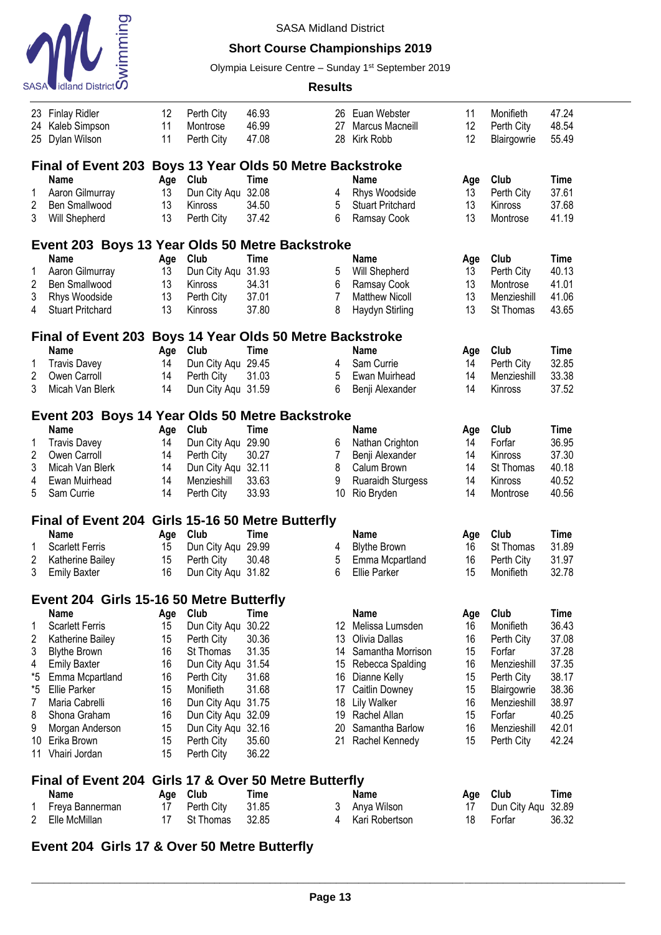

## **Short Course Championships 2019**

Olympia Leisure Centre - Sunday 1<sup>st</sup> September 2019

#### **Results**

|                | 23 Finlay Ridler                                         | 12  | Perth City         | 46.93                                        |                | 26 Euan Webster          | 11  | Monifieth    | 47.24       |  |  |  |  |  |
|----------------|----------------------------------------------------------|-----|--------------------|----------------------------------------------|----------------|--------------------------|-----|--------------|-------------|--|--|--|--|--|
| 24             | Kaleb Simpson                                            | 11  | Montrose           | 46.99                                        | 27             | Marcus Macneill          | 12  | Perth City   | 48.54       |  |  |  |  |  |
| 25             | Dylan Wilson                                             | 11  | Perth City         | 47.08                                        | 28             | Kirk Robb                | 12  | Blairgowrie  | 55.49       |  |  |  |  |  |
|                |                                                          |     |                    |                                              |                |                          |     |              |             |  |  |  |  |  |
|                | Final of Event 203 Boys 13 Year Olds 50 Metre Backstroke |     |                    |                                              |                |                          |     |              |             |  |  |  |  |  |
|                | <b>Name</b>                                              | Age | Club               | <b>Time</b>                                  |                | <b>Name</b>              | Age | Club         | <b>Time</b> |  |  |  |  |  |
| 1              | Aaron Gilmurray                                          | 13  | Dun City Aqu       | 32.08                                        | 4              | Rhys Woodside            | 13  | Perth City   | 37.61       |  |  |  |  |  |
| $\overline{c}$ | Ben Smallwood                                            | 13  | Kinross            | 34.50                                        | 5              | <b>Stuart Pritchard</b>  | 13  | Kinross      | 37.68       |  |  |  |  |  |
| 3              | Will Shepherd                                            | 13  | Perth City         | 37.42                                        | 6              | Ramsay Cook              | 13  | Montrose     | 41.19       |  |  |  |  |  |
|                | Event 203 Boys 13 Year Olds 50 Metre Backstroke          |     |                    |                                              |                |                          |     |              |             |  |  |  |  |  |
|                | <b>Name</b>                                              | Age | Club               | <b>Time</b>                                  |                | Name                     | Age | Club         | <b>Time</b> |  |  |  |  |  |
| 1              | Aaron Gilmurray                                          | 13  | Dun City Aqu       | 31.93                                        | 5              | Will Shepherd            | 13  | Perth City   | 40.13       |  |  |  |  |  |
| $\overline{c}$ | Ben Smallwood                                            | 13  | Kinross            | 34.31                                        | 6              | Ramsay Cook              | 13  | Montrose     | 41.01       |  |  |  |  |  |
| 3              | Rhys Woodside                                            | 13  | Perth City         | 37.01                                        | $\overline{7}$ | <b>Matthew Nicoll</b>    | 13  | Menzieshill  | 41.06       |  |  |  |  |  |
| 4              | <b>Stuart Pritchard</b>                                  | 13  | Kinross            | 37.80                                        | 8              | Haydyn Stirling          | 13  | St Thomas    | 43.65       |  |  |  |  |  |
|                |                                                          |     |                    |                                              |                |                          |     |              |             |  |  |  |  |  |
|                | <b>Final of Event 203</b>                                |     |                    | <b>Boys 14 Year Olds 50 Metre Backstroke</b> |                |                          |     |              |             |  |  |  |  |  |
|                | Name                                                     | Age | Club               | <b>Time</b>                                  |                | <b>Name</b>              | Age | Club         | <b>Time</b> |  |  |  |  |  |
| 1              | <b>Travis Davey</b>                                      | 14  | Dun City Aqu 29.45 |                                              | 4              | Sam Currie               | 14  | Perth City   | 32.85       |  |  |  |  |  |
| 2              | Owen Carroll                                             | 14  | Perth City         | 31.03                                        | 5              | Ewan Muirhead            | 14  | Menzieshill  | 33.38       |  |  |  |  |  |
| 3              | Micah Van Blerk                                          | 14  | Dun City Aqu 31.59 |                                              | 6              | Benji Alexander          | 14  | Kinross      | 37.52       |  |  |  |  |  |
|                |                                                          |     |                    |                                              |                |                          |     |              |             |  |  |  |  |  |
|                | Event 203 Boys 14 Year Olds 50 Metre Backstroke          |     |                    |                                              |                |                          |     |              |             |  |  |  |  |  |
|                | Name                                                     | Age | Club               | <b>Time</b>                                  |                | <b>Name</b>              | Age | Club         | <b>Time</b> |  |  |  |  |  |
| 1              | <b>Travis Davey</b>                                      | 14  | Dun City Aqu 29.90 |                                              | 6              | Nathan Crighton          | 14  | Forfar       | 36.95       |  |  |  |  |  |
| 2              | Owen Carroll                                             | 14  | Perth City         | 30.27                                        | 7              | Benji Alexander          | 14  | Kinross      | 37.30       |  |  |  |  |  |
| 3              | Micah Van Blerk                                          | 14  | Dun City Aqu 32.11 |                                              | 8              | Calum Brown              | 14  | St Thomas    | 40.18       |  |  |  |  |  |
| 4              | Ewan Muirhead                                            | 14  | Menzieshill        | 33.63                                        | 9              | <b>Ruaraidh Sturgess</b> | 14  | Kinross      | 40.52       |  |  |  |  |  |
| 5              | Sam Currie                                               | 14  | Perth City         | 33.93                                        | 10             | Rio Bryden               | 14  | Montrose     | 40.56       |  |  |  |  |  |
|                | Final of Event 204 Girls 15-16 50 Metre Butterfly        |     |                    |                                              |                |                          |     |              |             |  |  |  |  |  |
|                | Name                                                     | Age | Club               | <b>Time</b>                                  |                | <b>Name</b>              | Age | Club         | <b>Time</b> |  |  |  |  |  |
| 1              | <b>Scarlett Ferris</b>                                   | 15  | Dun City Aqu 29.99 |                                              | 4              | <b>Blythe Brown</b>      | 16  | St Thomas    | 31.89       |  |  |  |  |  |
| 2              | Katherine Bailey                                         | 15  | Perth City         | 30.48                                        | 5              | Emma Mcpartland          | 16  | Perth City   | 31.97       |  |  |  |  |  |
| 3              | <b>Emily Baxter</b>                                      | 16  | Dun City Aqu 31.82 |                                              | 6              | <b>Ellie Parker</b>      | 15  | Monifieth    | 32.78       |  |  |  |  |  |
|                |                                                          |     |                    |                                              |                |                          |     |              |             |  |  |  |  |  |
|                | Event 204 Girls 15-16 50 Metre Butterfly                 |     |                    |                                              |                |                          |     |              |             |  |  |  |  |  |
|                | Name                                                     | Age | Club               | Time                                         |                | <b>Name</b>              | Age | Club         | <b>Time</b> |  |  |  |  |  |
|                | <b>Scarlett Ferris</b>                                   | 15  | Dun City Aqu       | 30.22                                        | 12             | Melissa Lumsden          | 16  | Monifieth    | 36.43       |  |  |  |  |  |
| 2              | Katherine Bailey                                         | 15  | Perth City         | 30.36                                        | 13             | Olivia Dallas            | 16  | Perth City   | 37.08       |  |  |  |  |  |
| 3              | <b>Blythe Brown</b>                                      | 16  | St Thomas          | 31.35                                        | 14             | Samantha Morrison        | 15  | Forfar       | 37.28       |  |  |  |  |  |
| 4              | <b>Emily Baxter</b>                                      | 16  | Dun City Aqu       | 31.54                                        |                | 15 Rebecca Spalding      | 16  | Menzieshill  | 37.35       |  |  |  |  |  |
| *5             | Emma Mcpartland                                          | 16  | Perth City         | 31.68                                        | 16             | Dianne Kelly             | 15  | Perth City   | 38.17       |  |  |  |  |  |
| *5             | <b>Ellie Parker</b>                                      | 15  | Monifieth          | 31.68                                        | 17             | Caitlin Downey           | 15  | Blairgowrie  | 38.36       |  |  |  |  |  |
| 7              | Maria Cabrelli                                           | 16  | Dun City Aqu 31.75 |                                              | 18             | <b>Lily Walker</b>       | 16  | Menzieshill  | 38.97       |  |  |  |  |  |
| 8              | Shona Graham                                             | 16  | Dun City Aqu 32.09 |                                              | 19             | Rachel Allan             | 15  | Forfar       | 40.25       |  |  |  |  |  |
| 9              | Morgan Anderson                                          | 15  | Dun City Aqu 32.16 |                                              | 20             | Samantha Barlow          | 16  | Menzieshill  | 42.01       |  |  |  |  |  |
| 10             | Erika Brown                                              | 15  | Perth City         | 35.60                                        | 21             | Rachel Kennedy           | 15  | Perth City   | 42.24       |  |  |  |  |  |
| 11             | Vhairi Jordan                                            | 15  | Perth City         | 36.22                                        |                |                          |     |              |             |  |  |  |  |  |
|                | Final of Event 204 Girls 17 & Over 50 Metre Butterfly    |     |                    |                                              |                |                          |     |              |             |  |  |  |  |  |
|                | <b>Name</b>                                              | Age | Club               | Time                                         |                | Name                     | Age | Club         | <b>Time</b> |  |  |  |  |  |
| 1              | Freya Bannerman                                          | 17  | Perth City         | 31.85                                        | 3              | Anya Wilson              | 17  | Dun City Aqu | 32.89       |  |  |  |  |  |
| 2              | Elle McMillan                                            | 17  | St Thomas          | 32.85                                        | 4              | Kari Robertson           | 18  | Forfar       | 36.32       |  |  |  |  |  |

# **Event 204 Girls 17 & Over 50 Metre Butterfly**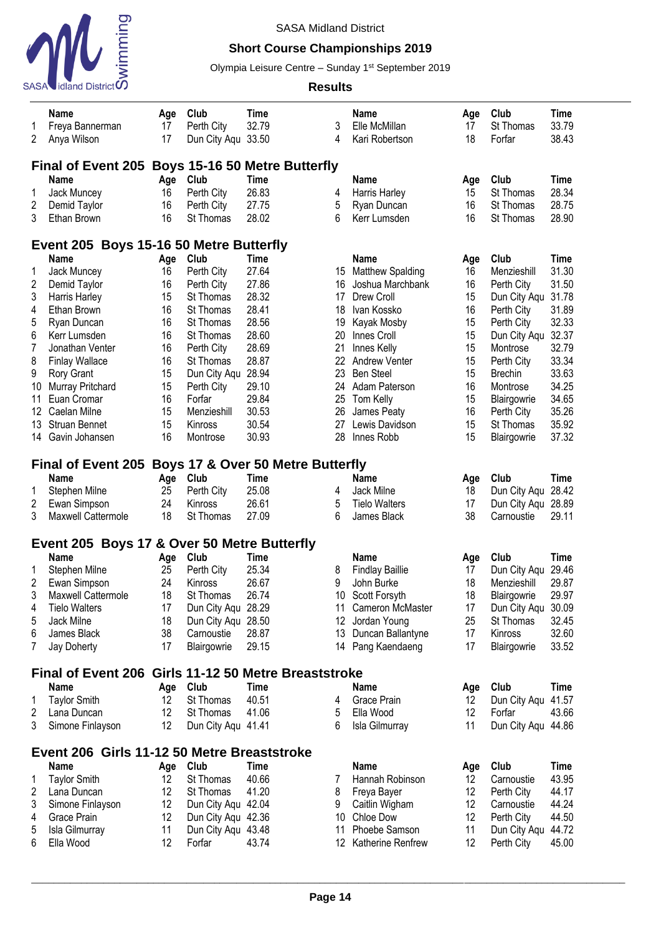

## **Short Course Championships 2019**

Olympia Leisure Centre - Sunday 1<sup>st</sup> September 2019

|                         | Name                                                 | Age               | Club               | Time        |    | <b>Name</b>            | Age | Club               | Time        |  |  |  |  |
|-------------------------|------------------------------------------------------|-------------------|--------------------|-------------|----|------------------------|-----|--------------------|-------------|--|--|--|--|
| 1                       | Freya Bannerman                                      | 17                | Perth City         | 32.79       | 3  | Elle McMillan          | 17  | St Thomas          | 33.79       |  |  |  |  |
| 2                       | Anya Wilson                                          | 17                | Dun City Aqu 33.50 |             | 4  | Kari Robertson         | 18  | Forfar             | 38.43       |  |  |  |  |
|                         |                                                      |                   |                    |             |    |                        |     |                    |             |  |  |  |  |
|                         | Final of Event 205 Boys 15-16 50 Metre Butterfly     |                   |                    |             |    |                        |     |                    |             |  |  |  |  |
|                         | <b>Name</b>                                          | Age               | Club               | Time        |    | Name                   | Age | Club               | <b>Time</b> |  |  |  |  |
| 1                       | Jack Muncey                                          | 16                | Perth City         | 26.83       | 4  | Harris Harley          | 15  | St Thomas          | 28.34       |  |  |  |  |
| $\overline{c}$          | Demid Taylor                                         | 16                | Perth City         | 27.75       | 5  | Ryan Duncan            | 16  | St Thomas          | 28.75       |  |  |  |  |
| 3                       | Ethan Brown                                          | 16                | St Thomas          | 28.02       | 6  | Kerr Lumsden           | 16  | St Thomas          | 28.90       |  |  |  |  |
|                         | Event 205 Boys 15-16 50 Metre Butterfly              |                   |                    |             |    |                        |     |                    |             |  |  |  |  |
|                         | <b>Name</b>                                          | Age               | Club               | Time        |    | <b>Name</b>            | Age | Club               | <b>Time</b> |  |  |  |  |
| 1                       | Jack Muncey                                          | 16                | Perth City         | 27.64       |    | 15 Matthew Spalding    | 16  | Menzieshill        | 31.30       |  |  |  |  |
| $\overline{2}$          | Demid Taylor                                         | 16                | Perth City         | 27.86       | 16 | Joshua Marchbank       | 16  | Perth City         | 31.50       |  |  |  |  |
| 3                       | Harris Harley                                        | 15                | St Thomas          | 28.32       | 17 | Drew Croll             | 15  | Dun City Aqu 31.78 |             |  |  |  |  |
| 4                       | Ethan Brown                                          | 16                | St Thomas          | 28.41       | 18 | Ivan Kossko            | 16  | Perth City         | 31.89       |  |  |  |  |
| 5                       | Ryan Duncan                                          | 16                | St Thomas          | 28.56       | 19 | Kayak Mosby            | 15  | Perth City         | 32.33       |  |  |  |  |
| 6                       | Kerr Lumsden                                         | 16                | St Thomas          | 28.60       | 20 | Innes Croll            | 15  | Dun City Aqu 32.37 |             |  |  |  |  |
| $\overline{7}$          | Jonathan Venter                                      | 16                | Perth City         | 28.69       | 21 | Innes Kelly            | 15  | Montrose           | 32.79       |  |  |  |  |
| 8                       | <b>Finlay Wallace</b>                                | 16                | St Thomas          | 28.87       | 22 | <b>Andrew Venter</b>   | 15  | Perth City         | 33.34       |  |  |  |  |
| 9                       | <b>Rory Grant</b>                                    | 15                | Dun City Aqu       | 28.94       | 23 | <b>Ben Steel</b>       | 15  | <b>Brechin</b>     | 33.63       |  |  |  |  |
| 10                      | <b>Murray Pritchard</b>                              | 15                | Perth City         | 29.10       |    | 24 Adam Paterson       | 16  | Montrose           | 34.25       |  |  |  |  |
| 11                      | Euan Cromar                                          | 16                | Forfar             | 29.84       | 25 | Tom Kelly              | 15  | Blairgowrie        | 34.65       |  |  |  |  |
| 12                      | Caelan Milne                                         | 15                | Menzieshill        | 30.53       | 26 | James Peaty            | 16  | Perth City         | 35.26       |  |  |  |  |
| 13                      | Struan Bennet                                        | 15                | Kinross            | 30.54       | 27 | Lewis Davidson         | 15  | St Thomas          | 35.92       |  |  |  |  |
|                         | 14 Gavin Johansen                                    | 16                | Montrose           | 30.93       | 28 | Innes Robb             | 15  | Blairgowrie        | 37.32       |  |  |  |  |
|                         | Final of Event 205 Boys 17 & Over 50 Metre Butterfly |                   |                    |             |    |                        |     |                    |             |  |  |  |  |
|                         | <b>Name</b>                                          | Age               | Club               | Time        |    | <b>Name</b>            | Age | Club               | <b>Time</b> |  |  |  |  |
| 1                       | Stephen Milne                                        | 25                | Perth City         | 25.08       | 4  | Jack Milne             | 18  | Dun City Aqu 28.42 |             |  |  |  |  |
| $\overline{2}$          | Ewan Simpson                                         | 24                | Kinross            | 26.61       | 5  | <b>Tielo Walters</b>   | 17  | Dun City Aqu 28.89 |             |  |  |  |  |
| 3                       | <b>Maxwell Cattermole</b>                            | 18                | St Thomas          | 27.09       | 6  | James Black            | 38  | Carnoustie         | 29.11       |  |  |  |  |
|                         |                                                      |                   |                    |             |    |                        |     |                    |             |  |  |  |  |
|                         | Event 205 Boys 17 & Over 50 Metre Butterfly          |                   |                    |             |    |                        |     |                    |             |  |  |  |  |
|                         | <b>Name</b>                                          | Age               | Club               | Time        |    | <b>Name</b>            | Age | Club               | Time        |  |  |  |  |
| 1                       | Stephen Milne                                        | 25                | Perth City         | 25.34       | 8  | <b>Findlay Baillie</b> | 17  | Dun City Aqu 29.46 |             |  |  |  |  |
| $\overline{\mathbf{c}}$ | Ewan Simpson                                         | 24                | Kinross            | 26.67       | 9  | John Burke             | 18  | Menzieshill        | 29.87       |  |  |  |  |
| 3                       | Maxwell Cattermole                                   | 18                | St Thomas          | 26.74       |    | 10 Scott Forsyth       | 18  | Blairgowrie        | 29.97       |  |  |  |  |
| 4                       | <b>Tielo Walters</b>                                 | 17                | Dun City Aqu 28.29 |             |    | 11 Cameron McMaster    | 17  | Dun City Aqu 30.09 |             |  |  |  |  |
| 5                       | Jack Milne                                           | 18                | Dun City Aqu 28.50 |             | 12 | Jordan Young           | 25  | St Thomas          | 32.45       |  |  |  |  |
| 6                       | James Black                                          | 38                | Carnoustie         | 28.87       | 13 | Duncan Ballantyne      | 17  | Kinross            | 32.60       |  |  |  |  |
| 7                       | Jay Doherty                                          | 17                | Blairgowrie        | 29.15       |    | 14 Pang Kaendaeng      | 17  | Blairgowrie        | 33.52       |  |  |  |  |
|                         | Final of Event 206 Girls 11-12 50 Metre Breaststroke |                   |                    |             |    |                        |     |                    |             |  |  |  |  |
|                         | <b>Name</b>                                          | Age               | Club               | <b>Time</b> |    | <b>Name</b>            | Age | Club               | Time        |  |  |  |  |
| 1                       | <b>Taylor Smith</b>                                  | $12 \overline{ }$ | St Thomas          | 40.51       | 4  | Grace Prain            | 12  | Dun City Aqu       | 41.57       |  |  |  |  |
| $\overline{2}$          | Lana Duncan                                          | $12 \overline{ }$ | St Thomas          | 41.06       | 5  | Ella Wood              | 12  | Forfar             | 43.66       |  |  |  |  |
| 3                       | Simone Finlayson                                     | 12                | Dun City Aqu 41.41 |             | 6  | Isla Gilmurray         | 11  | Dun City Aqu 44.86 |             |  |  |  |  |
|                         |                                                      |                   |                    |             |    |                        |     |                    |             |  |  |  |  |
|                         | Event 206 Girls 11-12 50 Metre Breaststroke          |                   |                    |             |    |                        |     |                    |             |  |  |  |  |
|                         | <b>Name</b>                                          | Age               | Club               | <b>Time</b> |    | Name                   | Age | Club               | <b>Time</b> |  |  |  |  |
| 1                       | <b>Taylor Smith</b>                                  | 12                | St Thomas          | 40.66       | 7  | Hannah Robinson        | 12  | Carnoustie         | 43.95       |  |  |  |  |
| 2                       | Lana Duncan                                          | 12                | St Thomas          | 41.20       | 8  | Freya Bayer            | 12  | Perth City         | 44.17       |  |  |  |  |
| 3                       | Simone Finlayson                                     | 12                | Dun City Aqu 42.04 |             | 9  | Caitlin Wigham         | 12  | Carnoustie         | 44.24       |  |  |  |  |
| 4                       | Grace Prain                                          | 12                | Dun City Aqu 42.36 |             | 10 | Chloe Dow              | 12  | Perth City         | 44.50       |  |  |  |  |
| 5                       | Isla Gilmurray                                       | 11                | Dun City Aqu 43.48 |             | 11 | Phoebe Samson          | 11  | Dun City Aqu 44.72 |             |  |  |  |  |
| 6                       | Ella Wood                                            | 12                | Forfar             | 43.74       |    | 12 Katherine Renfrew   | 12  | Perth City         | 45.00       |  |  |  |  |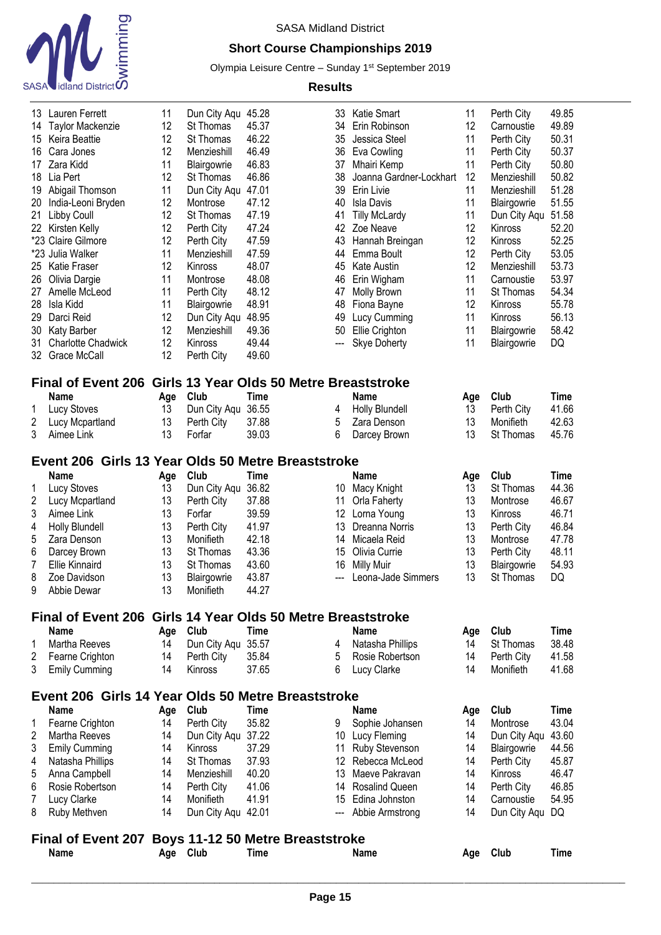

# **Short Course Championships 2019**

Olympia Leisure Centre - Sunday 1<sup>st</sup> September 2019

| 13<br>14       | Lauren Ferrett<br><b>Taylor Mackenzie</b>                   | 11<br>12 | Dun City Aqu 45.28<br>St Thomas | 45.37                                                  | 33<br>34          | Katie Smart<br>Erin Robinson        | 11<br>12 | Perth City<br>Carnoustie | 49.85<br>49.89 |
|----------------|-------------------------------------------------------------|----------|---------------------------------|--------------------------------------------------------|-------------------|-------------------------------------|----------|--------------------------|----------------|
| 15.            | Keira Beattie                                               | 12       | St Thomas                       | 46.22                                                  | 35                | Jessica Steel                       | 11       | Perth City               | 50.31          |
| 16             | Cara Jones                                                  | 12       | Menzieshill                     | 46.49                                                  | 36                | Eva Cowling                         | 11       | Perth City               | 50.37          |
| 17             | Zara Kidd                                                   | 11       | Blairgowrie                     | 46.83                                                  | 37                | Mhairi Kemp                         | 11       | Perth City               | 50.80          |
| 18             | Lia Pert                                                    | 12       | St Thomas                       | 46.86                                                  | 38                | Joanna Gardner-Lockhart             | 12       | Menzieshill              | 50.82          |
| 19             | Abigail Thomson                                             | 11       | Dun City Aqu                    | 47.01                                                  | 39                | Erin Livie                          | 11       | Menzieshill              | 51.28          |
| 20             | India-Leoni Bryden                                          | 12       | Montrose                        | 47.12                                                  | 40                | <b>Isla Davis</b>                   | 11       | Blairgowrie              | 51.55          |
| 21             | Libby Coull                                                 | 12       | St Thomas                       | 47.19                                                  | 41                | <b>Tilly McLardy</b>                | 11       | Dun City Aqu             | 51.58          |
|                | 22 Kirsten Kelly                                            | 12       | Perth City                      | 47.24                                                  | 42                | Zoe Neave                           | 12       | Kinross                  | 52.20          |
|                | *23 Claire Gilmore                                          | 12       | Perth City                      | 47.59                                                  | 43                | Hannah Breingan                     | 12       | Kinross                  | 52.25          |
|                | *23 Julia Walker                                            | 11       | Menzieshill                     | 47.59                                                  | 44                | Emma Boult                          | 12       | Perth City               | 53.05          |
| 25             | Katie Fraser                                                | 12       | Kinross                         | 48.07                                                  | 45                | Kate Austin                         | 12       | Menzieshill              | 53.73          |
| 26             | Olivia Dargie                                               | 11       | Montrose                        | 48.08                                                  | 46                | Erin Wigham                         | 11       | Carnoustie               | 53.97          |
| 27<br>28       | Amelle McLeod                                               | 11<br>11 | Perth City                      | 48.12<br>48.91                                         | 47                | <b>Molly Brown</b>                  | 11<br>12 | St Thomas                | 54.34<br>55.78 |
| 29             | Isla Kidd<br>Darci Reid                                     | 12       | Blairgowrie                     | 48.95                                                  | 48<br>49          | Fiona Bayne                         | 11       | Kinross<br>Kinross       | 56.13          |
| 30             | <b>Katy Barber</b>                                          | 12       | Dun City Aqu<br>Menzieshill     | 49.36                                                  | 50                | Lucy Cumming<br>Ellie Crighton      | 11       | Blairgowrie              | 58.42          |
| 31             | <b>Charlotte Chadwick</b>                                   | 12       | Kinross                         | 49.44                                                  | ---               | <b>Skye Doherty</b>                 | 11       | Blairgowrie              | DQ             |
| 32             | <b>Grace McCall</b>                                         | 12       | Perth City                      | 49.60                                                  |                   |                                     |          |                          |                |
|                |                                                             |          |                                 |                                                        |                   |                                     |          |                          |                |
|                | <b>Final of Event 206</b>                                   |          |                                 | Girls 13 Year Olds 50 Metre Breaststroke               |                   |                                     |          |                          |                |
|                | <b>Name</b>                                                 | Age      | Club                            | <b>Time</b>                                            |                   | <b>Name</b>                         | Age      | Club                     | <b>Time</b>    |
| 1              | <b>Lucy Stoves</b>                                          | 13       | Dun City Aqu                    | 36.55                                                  | 4                 | <b>Holly Blundell</b>               | 13       | Perth City               | 41.66          |
| 2<br>3         | Lucy Mcpartland                                             | 13<br>13 | Perth City                      | 37.88<br>39.03                                         | 5                 | Zara Denson                         | 13<br>13 | Monifieth                | 42.63<br>45.76 |
|                | Aimee Link                                                  |          | Forfar                          |                                                        | 6                 | Darcey Brown                        |          | St Thomas                |                |
|                | Event 206 Girls 13 Year Olds 50 Metre Breaststroke          |          |                                 |                                                        |                   |                                     |          |                          |                |
|                | Name                                                        | Age      | Club                            | <b>Time</b>                                            |                   | <b>Name</b>                         | Age      | Club                     | <b>Time</b>    |
| 1              | <b>Lucy Stoves</b>                                          | 13       | Dun City Aqu                    | 36.82                                                  | 10                | Macy Knight                         | 13       | St Thomas                | 44.36          |
| $\overline{c}$ | Lucy Mcpartland                                             | 13       | Perth City                      | 37.88                                                  | 11                | Orla Faherty                        | 13       | Montrose                 | 46.67          |
| 3              | Aimee Link                                                  | 13       | Forfar                          | 39.59                                                  | 12                | Lorna Young                         | 13       | Kinross                  | 46.71          |
| 4              | Holly Blundell                                              | 13       | Perth City                      | 41.97                                                  | 13                | Dreanna Norris                      | 13       | Perth City               | 46.84          |
| 5<br>6         | Zara Denson                                                 | 13<br>13 | Monifieth<br>St Thomas          | 42.18<br>43.36                                         | 14<br>15          | Micaela Reid                        | 13<br>13 | Montrose<br>Perth City   | 47.78<br>48.11 |
| $\overline{7}$ | Darcey Brown<br><b>Ellie Kinnaird</b>                       | 13       | St Thomas                       | 43.60                                                  | 16                | Olivia Currie<br><b>Milly Muir</b>  | 13       | Blairgowrie              | 54.93          |
| 8              | Zoe Davidson                                                | 13       | Blairgowrie                     | 43.87                                                  |                   | Leona-Jade Simmers                  | 13       | St Thomas                | DQ             |
| 9              | Abbie Dewar                                                 | 13       | Monifieth                       | 44.27                                                  |                   |                                     |          |                          |                |
|                |                                                             |          |                                 |                                                        |                   |                                     |          |                          |                |
|                | Final of Event 206 Girls 14 Year Olds 50 Metre Breaststroke |          |                                 |                                                        |                   |                                     |          |                          |                |
|                | Name                                                        | Age      | Club                            | <b>Time</b>                                            |                   | <b>Name</b>                         | Age      | Club                     | <b>Time</b>    |
| 1<br>2         | Martha Reeves                                               | 14<br>14 | Dun City Aqu                    | 35.57<br>35.84                                         | 4<br>5            | Natasha Phillips<br>Rosie Robertson | 14<br>14 | St Thomas<br>Perth City  | 38.48<br>41.58 |
| 3              | Fearne Crighton<br><b>Emily Cumming</b>                     | 14       | Perth City<br><b>Kinross</b>    | 37.65                                                  | 6                 | Lucy Clarke                         | 14       | Monifieth                | 41.68          |
|                |                                                             |          |                                 |                                                        |                   |                                     |          |                          |                |
|                | Event 206 Girls 14 Year Olds 50 Metre Breaststroke          |          |                                 |                                                        |                   |                                     |          |                          |                |
|                | <b>Name</b>                                                 | Age      | Club                            | <b>Time</b>                                            |                   | Name                                | Age      | Club                     | <b>Time</b>    |
| 1              |                                                             |          |                                 |                                                        | 9                 | Sophie Johansen                     | 14       | Montrose                 | 43.04          |
|                | Fearne Crighton                                             | 14       | Perth City                      | 35.82                                                  |                   |                                     |          |                          |                |
| $\overline{c}$ | Martha Reeves                                               | 14       | Dun City Aqu 37.22              |                                                        | 10                | Lucy Fleming                        | 14       | Dun City Aqu 43.60       |                |
| 3              | <b>Emily Cumming</b>                                        | 14       | Kinross                         | 37.29                                                  | 11                | Ruby Stevenson                      | 14       | Blairgowrie              | 44.56          |
| 4              | Natasha Phillips                                            | 14       | St Thomas                       | 37.93                                                  | $12 \overline{ }$ | Rebecca McLeod                      | 14       | Perth City               | 45.87          |
| 5              | Anna Campbell                                               | 14       | Menzieshill                     | 40.20                                                  | 13                | Maeve Pakravan                      | 14       | Kinross                  | 46.47          |
| 6              | Rosie Robertson                                             | 14       | Perth City                      | 41.06                                                  | 14                | <b>Rosalind Queen</b>               | 14       | Perth City               | 46.85          |
| $\overline{7}$ | Lucy Clarke                                                 | 14       | Monifieth                       | 41.91                                                  | 15                | Edina Johnston                      | 14       | Carnoustie               | 54.95          |
| 8              | Ruby Methven                                                | 14       | Dun City Aqu 42.01              |                                                        | ---               | Abbie Armstrong                     | 14       | Dun City Aqu DQ          |                |
|                | <b>Final of Event 207</b><br><b>Name</b>                    | Age Club |                                 | <b>Boys 11-12 50 Metre Breaststroke</b><br><b>Time</b> |                   | <b>Name</b>                         | Age      | Club                     | <b>Time</b>    |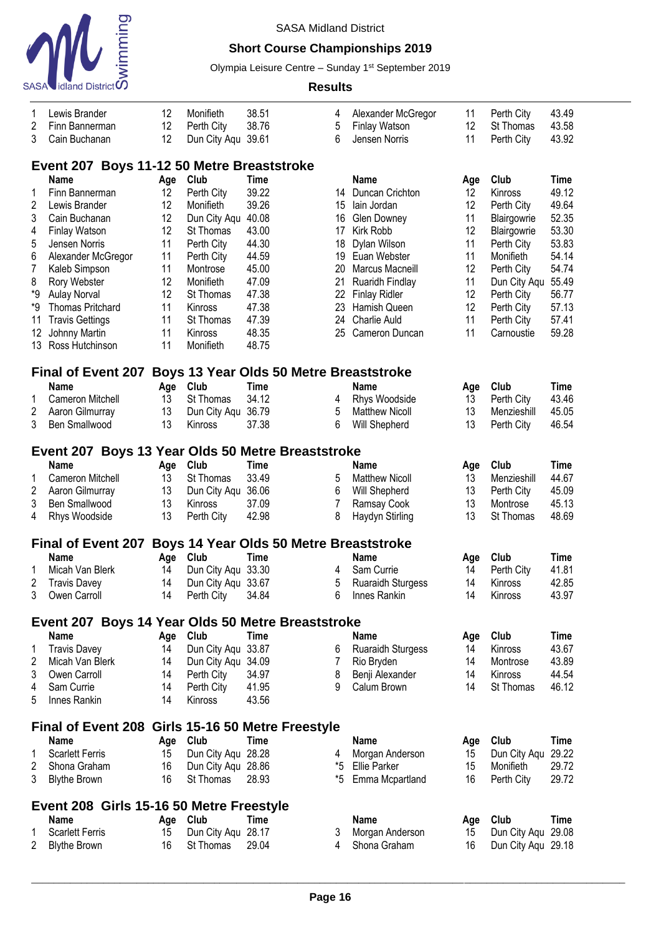

## **Short Course Championships 2019**

Olympia Leisure Centre - Sunday 1<sup>st</sup> September 2019

| 1              | Lewis Brander                                     | 12  | Monifieth          | 38.51                                          | 4              | Alexander McGregor       | 11        | Perth City         | 43.49       |  |  |  |  |
|----------------|---------------------------------------------------|-----|--------------------|------------------------------------------------|----------------|--------------------------|-----------|--------------------|-------------|--|--|--|--|
| $\overline{2}$ | Finn Bannerman                                    | 12  | Perth City         | 38.76                                          | 5              | Finlay Watson            | 12        | St Thomas          | 43.58       |  |  |  |  |
| 3              | Cain Buchanan                                     | 12  | Dun City Aqu       | 39.61                                          | 6              | Jensen Norris            | 11        | Perth City         | 43.92       |  |  |  |  |
|                | Event 207 Boys 11-12 50 Metre Breaststroke        |     |                    |                                                |                |                          |           |                    |             |  |  |  |  |
|                | Name                                              | Age | Club               | Time                                           |                | <b>Name</b>              | Age       | Club               | <b>Time</b> |  |  |  |  |
| 1              | Finn Bannerman                                    | 12  | Perth City         | 39.22                                          | 14             | Duncan Crichton          | 12        | Kinross            | 49.12       |  |  |  |  |
| $\overline{c}$ | Lewis Brander                                     | 12  | Monifieth          | 39.26                                          | 15             | lain Jordan              | 12        | Perth City         | 49.64       |  |  |  |  |
| 3              | Cain Buchanan                                     | 12  | Dun City Aqu       | 40.08                                          | 16             | <b>Glen Downey</b>       | 11        | Blairgowrie        | 52.35       |  |  |  |  |
| 4              | <b>Finlay Watson</b>                              | 12  | St Thomas          | 43.00                                          | 17             | Kirk Robb                | 12        | Blairgowrie        | 53.30       |  |  |  |  |
| 5              | Jensen Norris                                     | 11  | Perth City         | 44.30                                          | 18             | Dylan Wilson             | 11        | Perth City         | 53.83       |  |  |  |  |
| 6              | Alexander McGregor                                | 11  | Perth City         | 44.59                                          | 19             | Euan Webster             | 11        | Monifieth          | 54.14       |  |  |  |  |
| $\overline{7}$ | Kaleb Simpson                                     | 11  | Montrose           | 45.00                                          | 20             | Marcus Macneill          | 12        | Perth City         | 54.74       |  |  |  |  |
| 8              | Rory Webster                                      | 12  | Monifieth          | 47.09                                          | 21             | Ruaridh Findlay          | 11        | Dun City Aqu       | 55.49       |  |  |  |  |
| *9             | <b>Aulay Norval</b>                               | 12  | St Thomas          | 47.38                                          | 22             | <b>Finlay Ridler</b>     | 12        | Perth City         | 56.77       |  |  |  |  |
| *9             | <b>Thomas Pritchard</b>                           | 11  | Kinross            | 47.38                                          | 23             | Hamish Queen             | 12        | Perth City         | 57.13       |  |  |  |  |
| 11             | <b>Travis Gettings</b>                            | 11  | St Thomas          | 47.39                                          | 24             | Charlie Auld             | 11        | Perth City         | 57.41       |  |  |  |  |
| 12             | Johnny Martin                                     | 11  | Kinross            | 48.35                                          | 25             | Cameron Duncan           | 11        | Carnoustie         | 59.28       |  |  |  |  |
| 13             | Ross Hutchinson                                   | 11  | Monifieth          | 48.75                                          |                |                          |           |                    |             |  |  |  |  |
|                |                                                   |     |                    |                                                |                |                          |           |                    |             |  |  |  |  |
|                | <b>Final of Event 207</b>                         |     |                    | <b>Boys 13 Year Olds 50 Metre Breaststroke</b> |                |                          |           |                    |             |  |  |  |  |
|                | <b>Name</b>                                       | Age | Club               | <b>Time</b>                                    |                | Name                     | Age       | Club               | <b>Time</b> |  |  |  |  |
| 1              | Cameron Mitchell                                  | 13  | St Thomas          | 34.12                                          | 4              | Rhys Woodside            | 13        | Perth City         | 43.46       |  |  |  |  |
| $\overline{c}$ | Aaron Gilmurray                                   | 13  | Dun City Aqu       | 36.79                                          | 5              | <b>Matthew Nicoll</b>    | 13        | Menzieshill        | 45.05       |  |  |  |  |
| 3              | Ben Smallwood                                     | 13  | Kinross            | 37.38                                          | 6              | Will Shepherd            | 13        | Perth City         | 46.54       |  |  |  |  |
|                | Event 207 Boys 13 Year Olds 50 Metre Breaststroke |     |                    |                                                |                |                          |           |                    |             |  |  |  |  |
|                | <b>Name</b>                                       | Age | Club               | Time                                           |                | Name                     | Age       | Club               | <b>Time</b> |  |  |  |  |
| 1              | Cameron Mitchell                                  | 13  | St Thomas          | 33.49                                          | 5              | <b>Matthew Nicoll</b>    | 13        | Menzieshill        | 44.67       |  |  |  |  |
| $\overline{c}$ | Aaron Gilmurray                                   | 13  | Dun City Aqu       | 36.06                                          | 6              | Will Shepherd            | 13        | Perth City         | 45.09       |  |  |  |  |
| 3              | <b>Ben Smallwood</b>                              | 13  | Kinross            | 37.09                                          | $\overline{7}$ | Ramsay Cook              | 13        | Montrose           | 45.13       |  |  |  |  |
| 4              | Rhys Woodside                                     | 13  | Perth City         | 42.98                                          | 8              | Haydyn Stirling          | 13        | St Thomas          | 48.69       |  |  |  |  |
|                |                                                   |     |                    |                                                |                |                          |           |                    |             |  |  |  |  |
|                | <b>Final of Event 207</b>                         |     |                    | <b>Boys 14 Year Olds 50 Metre Breaststroke</b> |                |                          |           |                    |             |  |  |  |  |
|                | <b>Name</b>                                       | Age | Club               | <b>Time</b>                                    |                | <b>Name</b>              | Age       | Club               | <b>Time</b> |  |  |  |  |
| 1              | Micah Van Blerk                                   | 14  | Dun City Agu 33.30 |                                                | 4              | Sam Currie               | 14        | Perth City         | 41.81       |  |  |  |  |
| 2              | <b>Travis Davey</b>                               | 14  | Dun City Agu 33.67 |                                                | 5              | <b>Ruaraidh Sturgess</b> | 14        | Kinross            | 42.85       |  |  |  |  |
| 3              | Owen Carroll                                      | 14  | Perth City         | 34.84                                          | 6              | Innes Rankin             | 14        | Kinross            | 43.97       |  |  |  |  |
|                | Event 207 Boys 14 Year Olds 50 Metre Breaststroke |     |                    |                                                |                |                          |           |                    |             |  |  |  |  |
|                | <b>Name</b>                                       |     | Age Club           | <b>Time</b>                                    |                | <b>Name</b>              | Age       | Club               | <b>Time</b> |  |  |  |  |
| 1              | <b>Travis Davey</b>                               | 14  | Dun City Aqu 33.87 |                                                | 6              | <b>Ruaraidh Sturgess</b> | 14        | Kinross            | 43.67       |  |  |  |  |
| 2              | Micah Van Blerk                                   | 14  | Dun City Aqu 34.09 |                                                | 7              | Rio Bryden               | 14        | Montrose           | 43.89       |  |  |  |  |
| 3              | Owen Carroll                                      | 14  | Perth City         | 34.97                                          | 8              | Benji Alexander          | 14        | Kinross            | 44.54       |  |  |  |  |
| 4              | Sam Currie                                        | 14  | Perth City         | 41.95                                          | 9              | Calum Brown              | 14        | St Thomas          | 46.12       |  |  |  |  |
| 5              | Innes Rankin                                      | 14  | Kinross            | 43.56                                          |                |                          |           |                    |             |  |  |  |  |
|                | Final of Event 208 Girls 15-16 50 Metre Freestyle |     |                    |                                                |                |                          |           |                    |             |  |  |  |  |
|                | Name                                              |     | Age Club           | <b>Time</b>                                    |                | <b>Name</b>              |           | Club               | <b>Time</b> |  |  |  |  |
| 1              | <b>Scarlett Ferris</b>                            | 15  | Dun City Aqu 28.28 |                                                | 4              | Morgan Anderson          | Age<br>15 | Dun City Aqu       | 29.22       |  |  |  |  |
| 2              | Shona Graham                                      | 16  | Dun City Aqu 28.86 |                                                | *5             | <b>Ellie Parker</b>      | 15        | Monifieth          | 29.72       |  |  |  |  |
| 3              | <b>Blythe Brown</b>                               | 16  | St Thomas          | 28.93                                          | *5             | Emma Mcpartland          | 16        | Perth City         | 29.72       |  |  |  |  |
|                |                                                   |     |                    |                                                |                |                          |           |                    |             |  |  |  |  |
|                | Event 208 Girls 15-16 50 Metre Freestyle          |     |                    |                                                |                |                          |           |                    |             |  |  |  |  |
|                | <b>Name</b>                                       |     | Age Club           | <b>Time</b>                                    |                | <b>Name</b>              | Age       | Club               | <b>Time</b> |  |  |  |  |
| 1              | <b>Scarlett Ferris</b>                            | 15  | Dun City Aqu 28.17 |                                                | 3              | Morgan Anderson          | 15        | Dun City Aqu 29.08 |             |  |  |  |  |
| 2              | <b>Blythe Brown</b>                               | 16  | St Thomas          | 29.04                                          | 4              | Shona Graham             | 16        | Dun City Aqu 29.18 |             |  |  |  |  |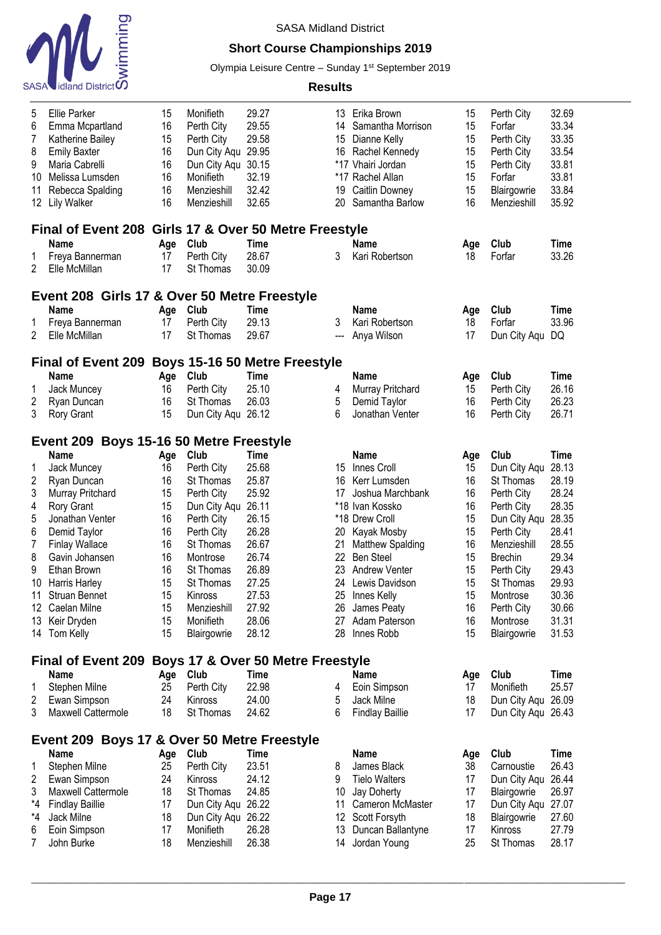

## **Short Course Championships 2019**

Olympia Leisure Centre - Sunday 1<sup>st</sup> September 2019

| 5<br>6<br>7<br>8<br>9<br>10<br>11<br>12                           | <b>Ellie Parker</b><br>Emma Mcpartland<br>Katherine Bailey<br><b>Emily Baxter</b><br>Maria Cabrelli<br>Melissa Lumsden<br>Rebecca Spalding<br><b>Lily Walker</b> | 15<br>16<br>15<br>16<br>16<br>16<br>16<br>16 | Monifieth<br>Perth City<br>Perth City<br>Dun City Aqu<br>Dun City Aqu<br>Monifieth<br>Menzieshill<br>Menzieshill | 29.27<br>29.55<br>29.58<br>29.95<br>30.15<br>32.19<br>32.42<br>32.65 | 13<br>14<br>15<br>19<br>20 | Erika Brown<br>Samantha Morrison<br>Dianne Kelly<br>16 Rachel Kennedy<br>*17 Vhairi Jordan<br>*17 Rachel Allan<br><b>Caitlin Downey</b><br>Samantha Barlow | 15<br>15<br>15<br>15<br>15<br>15<br>15<br>16 | Perth City<br>Forfar<br>Perth City<br>Perth City<br>Perth City<br>Forfar<br>Blairgowrie<br>Menzieshill | 32.69<br>33.34<br>33.35<br>33.54<br>33.81<br>33.81<br>33.84<br>35.92 |  |  |  |  |
|-------------------------------------------------------------------|------------------------------------------------------------------------------------------------------------------------------------------------------------------|----------------------------------------------|------------------------------------------------------------------------------------------------------------------|----------------------------------------------------------------------|----------------------------|------------------------------------------------------------------------------------------------------------------------------------------------------------|----------------------------------------------|--------------------------------------------------------------------------------------------------------|----------------------------------------------------------------------|--|--|--|--|
|                                                                   | Final of Event 208 Girls 17 & Over 50 Metre Freestyle                                                                                                            |                                              |                                                                                                                  |                                                                      |                            |                                                                                                                                                            |                                              |                                                                                                        |                                                                      |  |  |  |  |
|                                                                   | <b>Name</b>                                                                                                                                                      | Age                                          | Club                                                                                                             | <b>Time</b>                                                          |                            | <b>Name</b>                                                                                                                                                | Age                                          | Club                                                                                                   | <b>Time</b>                                                          |  |  |  |  |
| 1                                                                 | Freya Bannerman                                                                                                                                                  | 17                                           | Perth City                                                                                                       | 28.67                                                                | 3                          | Kari Robertson                                                                                                                                             | 18                                           | Forfar                                                                                                 | 33.26                                                                |  |  |  |  |
| 2                                                                 | Elle McMillan                                                                                                                                                    | 17                                           | St Thomas                                                                                                        | 30.09                                                                |                            |                                                                                                                                                            |                                              |                                                                                                        |                                                                      |  |  |  |  |
|                                                                   | Event 208 Girls 17 & Over 50 Metre Freestyle                                                                                                                     |                                              |                                                                                                                  |                                                                      |                            |                                                                                                                                                            |                                              |                                                                                                        |                                                                      |  |  |  |  |
|                                                                   | <b>Name</b>                                                                                                                                                      | Age                                          | Club                                                                                                             | <b>Time</b>                                                          |                            | <b>Name</b>                                                                                                                                                | Age                                          | Club                                                                                                   | <b>Time</b>                                                          |  |  |  |  |
| 1                                                                 | Freya Bannerman                                                                                                                                                  | 17                                           | Perth City                                                                                                       | 29.13                                                                | 3                          | Kari Robertson                                                                                                                                             | 18                                           | Forfar                                                                                                 | 33.96                                                                |  |  |  |  |
| 2                                                                 | Elle McMillan                                                                                                                                                    | 17                                           | St Thomas                                                                                                        | 29.67                                                                | ---                        | Anya Wilson                                                                                                                                                | 17                                           | Dun City Aqu DQ                                                                                        |                                                                      |  |  |  |  |
| <b>Final of Event 209</b><br><b>Boys 15-16 50 Metre Freestyle</b> |                                                                                                                                                                  |                                              |                                                                                                                  |                                                                      |                            |                                                                                                                                                            |                                              |                                                                                                        |                                                                      |  |  |  |  |
|                                                                   | <b>Name</b>                                                                                                                                                      | Age Club                                     |                                                                                                                  | Time                                                                 |                            | <b>Name</b>                                                                                                                                                | Age                                          | Club                                                                                                   | <b>Time</b>                                                          |  |  |  |  |
| 1                                                                 | Jack Muncey                                                                                                                                                      | 16                                           | Perth City                                                                                                       | 25.10                                                                | 4                          | Murray Pritchard                                                                                                                                           | 15                                           | Perth City                                                                                             | 26.16                                                                |  |  |  |  |
| $\overline{c}$                                                    | Ryan Duncan                                                                                                                                                      | 16                                           | St Thomas                                                                                                        | 26.03                                                                | 5                          | Demid Taylor                                                                                                                                               | 16                                           | Perth City                                                                                             | 26.23                                                                |  |  |  |  |
| 3                                                                 | Rory Grant                                                                                                                                                       | 15                                           | Dun City Aqu 26.12                                                                                               |                                                                      | 6                          | Jonathan Venter                                                                                                                                            | 16                                           | Perth City                                                                                             | 26.71                                                                |  |  |  |  |
|                                                                   | Event 209 Boys 15-16 50 Metre Freestyle                                                                                                                          |                                              |                                                                                                                  |                                                                      |                            |                                                                                                                                                            |                                              |                                                                                                        |                                                                      |  |  |  |  |
|                                                                   | <b>Name</b>                                                                                                                                                      | Age Club                                     |                                                                                                                  |                                                                      |                            |                                                                                                                                                            |                                              | Club                                                                                                   | <b>Time</b>                                                          |  |  |  |  |
|                                                                   |                                                                                                                                                                  | 16                                           | Perth City                                                                                                       | <b>Time</b><br>25.68                                                 | 15                         | <b>Name</b><br>Innes Croll                                                                                                                                 | Age                                          |                                                                                                        | 28.13                                                                |  |  |  |  |
| 1                                                                 | Jack Muncey                                                                                                                                                      |                                              |                                                                                                                  |                                                                      |                            |                                                                                                                                                            | 15                                           | Dun City Aqu                                                                                           | 28.19                                                                |  |  |  |  |
| $\overline{c}$                                                    | Ryan Duncan                                                                                                                                                      | 16                                           | St Thomas                                                                                                        | 25.87                                                                | 16                         | Kerr Lumsden                                                                                                                                               | 16                                           | St Thomas                                                                                              |                                                                      |  |  |  |  |
| 3                                                                 | Murray Pritchard                                                                                                                                                 | 15                                           | Perth City                                                                                                       | 25.92                                                                | 17                         | Joshua Marchbank                                                                                                                                           | 16                                           | Perth City                                                                                             | 28.24                                                                |  |  |  |  |
| 4                                                                 | Rory Grant                                                                                                                                                       | 15                                           | Dun City Aqu                                                                                                     | 26.11                                                                |                            | *18 Ivan Kossko                                                                                                                                            | 16<br>15                                     | Perth City                                                                                             | 28.35                                                                |  |  |  |  |
| 5<br>6                                                            | Jonathan Venter                                                                                                                                                  | 16<br>16                                     | Perth City                                                                                                       | 26.15<br>26.28                                                       | 20                         | *18 Drew Croll                                                                                                                                             | 15                                           | Dun City Aqu                                                                                           | 28.35                                                                |  |  |  |  |
|                                                                   | Demid Taylor                                                                                                                                                     |                                              | Perth City                                                                                                       |                                                                      |                            | Kayak Mosby                                                                                                                                                | 16                                           | Perth City<br>Menzieshill                                                                              | 28.41<br>28.55                                                       |  |  |  |  |
| 7                                                                 | <b>Finlay Wallace</b>                                                                                                                                            | 16                                           | St Thomas                                                                                                        | 26.67                                                                | 21                         | Matthew Spalding                                                                                                                                           |                                              |                                                                                                        |                                                                      |  |  |  |  |
| 8                                                                 | Gavin Johansen<br>Ethan Brown                                                                                                                                    | 16                                           | Montrose                                                                                                         | 26.74                                                                | 22                         | <b>Ben Steel</b>                                                                                                                                           | 15                                           | <b>Brechin</b>                                                                                         | 29.34                                                                |  |  |  |  |
| 9                                                                 |                                                                                                                                                                  | 16                                           | St Thomas                                                                                                        | 26.89                                                                | 23                         | <b>Andrew Venter</b>                                                                                                                                       | 15                                           | Perth City                                                                                             | 29.43                                                                |  |  |  |  |
| 10                                                                | Harris Harley<br>Struan Bennet                                                                                                                                   | 15<br>15                                     | St Thomas<br>Kinross                                                                                             | 27.25<br>27.53                                                       | 24<br>25                   | Lewis Davidson                                                                                                                                             | 15<br>15                                     | St Thomas                                                                                              | 29.93<br>30.36                                                       |  |  |  |  |
| 11                                                                |                                                                                                                                                                  |                                              |                                                                                                                  | 27.92                                                                |                            | Innes Kelly                                                                                                                                                |                                              | Montrose                                                                                               |                                                                      |  |  |  |  |
| 12                                                                | Caelan Milne                                                                                                                                                     | 15                                           | Menzieshill                                                                                                      | 28.06                                                                | 26                         | James Peaty                                                                                                                                                | 16                                           | Perth City                                                                                             | 30.66<br>31.31                                                       |  |  |  |  |
| 13<br>14                                                          | Keir Dryden<br>Tom Kelly                                                                                                                                         | 15<br>15                                     | Monifieth<br>Blairgowrie                                                                                         | 28.12                                                                | 27<br>28                   | Adam Paterson<br>Innes Robb                                                                                                                                | 16<br>15                                     | Montrose<br>Blairgowrie                                                                                | 31.53                                                                |  |  |  |  |
|                                                                   |                                                                                                                                                                  |                                              |                                                                                                                  |                                                                      |                            |                                                                                                                                                            |                                              |                                                                                                        |                                                                      |  |  |  |  |
|                                                                   | <b>Final of Event 209</b>                                                                                                                                        |                                              |                                                                                                                  | Boys 17 & Over 50 Metre Freestyle                                    |                            |                                                                                                                                                            |                                              |                                                                                                        |                                                                      |  |  |  |  |
|                                                                   | <b>Name</b>                                                                                                                                                      | Age Club                                     |                                                                                                                  | Time                                                                 |                            | <b>Name</b>                                                                                                                                                | Age                                          | Club                                                                                                   | <b>Time</b>                                                          |  |  |  |  |
| 1                                                                 | Stephen Milne                                                                                                                                                    | 25                                           | Perth City                                                                                                       | 22.98                                                                | 4                          | Eoin Simpson                                                                                                                                               | 17                                           | Monifieth                                                                                              | 25.57                                                                |  |  |  |  |
| 2                                                                 | Ewan Simpson                                                                                                                                                     | 24                                           | Kinross                                                                                                          | 24.00                                                                | 5                          | Jack Milne                                                                                                                                                 | 18                                           | Dun City Aqu 26.09                                                                                     |                                                                      |  |  |  |  |
| 3                                                                 | Maxwell Cattermole                                                                                                                                               | 18                                           | St Thomas                                                                                                        | 24.62                                                                | 6                          | <b>Findlay Baillie</b>                                                                                                                                     | 17                                           | Dun City Aqu 26.43                                                                                     |                                                                      |  |  |  |  |
|                                                                   | Event 209 Boys 17 & Over 50 Metre Freestyle                                                                                                                      |                                              |                                                                                                                  |                                                                      |                            |                                                                                                                                                            |                                              |                                                                                                        |                                                                      |  |  |  |  |
|                                                                   | <b>Name</b>                                                                                                                                                      | Age                                          | Club                                                                                                             | Time                                                                 |                            | <b>Name</b>                                                                                                                                                | Age                                          | Club                                                                                                   | <b>Time</b>                                                          |  |  |  |  |
| 1                                                                 | Stephen Milne                                                                                                                                                    | 25                                           | Perth City                                                                                                       | 23.51                                                                | 8                          | James Black                                                                                                                                                | 38                                           | Carnoustie                                                                                             | 26.43                                                                |  |  |  |  |
| 2                                                                 | Ewan Simpson                                                                                                                                                     | 24                                           | Kinross                                                                                                          | 24.12                                                                | 9                          | <b>Tielo Walters</b>                                                                                                                                       | 17                                           | Dun City Aqu                                                                                           | 26.44                                                                |  |  |  |  |
| 3                                                                 | Maxwell Cattermole                                                                                                                                               | 18                                           | St Thomas                                                                                                        | 24.85                                                                | 10                         | Jay Doherty                                                                                                                                                | 17                                           | Blairgowrie                                                                                            | 26.97                                                                |  |  |  |  |
| *4                                                                | <b>Findlay Baillie</b>                                                                                                                                           | 17                                           | Dun City Aqu                                                                                                     | 26.22                                                                | 11                         | Cameron McMaster                                                                                                                                           | 17                                           | Dun City Aqu                                                                                           | 27.07                                                                |  |  |  |  |
| *4                                                                | Jack Milne                                                                                                                                                       | 18                                           | Dun City Aqu                                                                                                     | 26.22                                                                | 12                         | Scott Forsyth                                                                                                                                              | 18                                           | Blairgowrie                                                                                            | 27.60                                                                |  |  |  |  |
| 6                                                                 | Eoin Simpson                                                                                                                                                     | 17                                           | Monifieth                                                                                                        | 26.28                                                                | 13                         | Duncan Ballantyne                                                                                                                                          | 17                                           | Kinross                                                                                                | 27.79                                                                |  |  |  |  |
| 7                                                                 | John Burke                                                                                                                                                       | 18                                           | Menzieshill                                                                                                      | 26.38                                                                |                            | 14 Jordan Young                                                                                                                                            | 25                                           | St Thomas                                                                                              | 28.17                                                                |  |  |  |  |